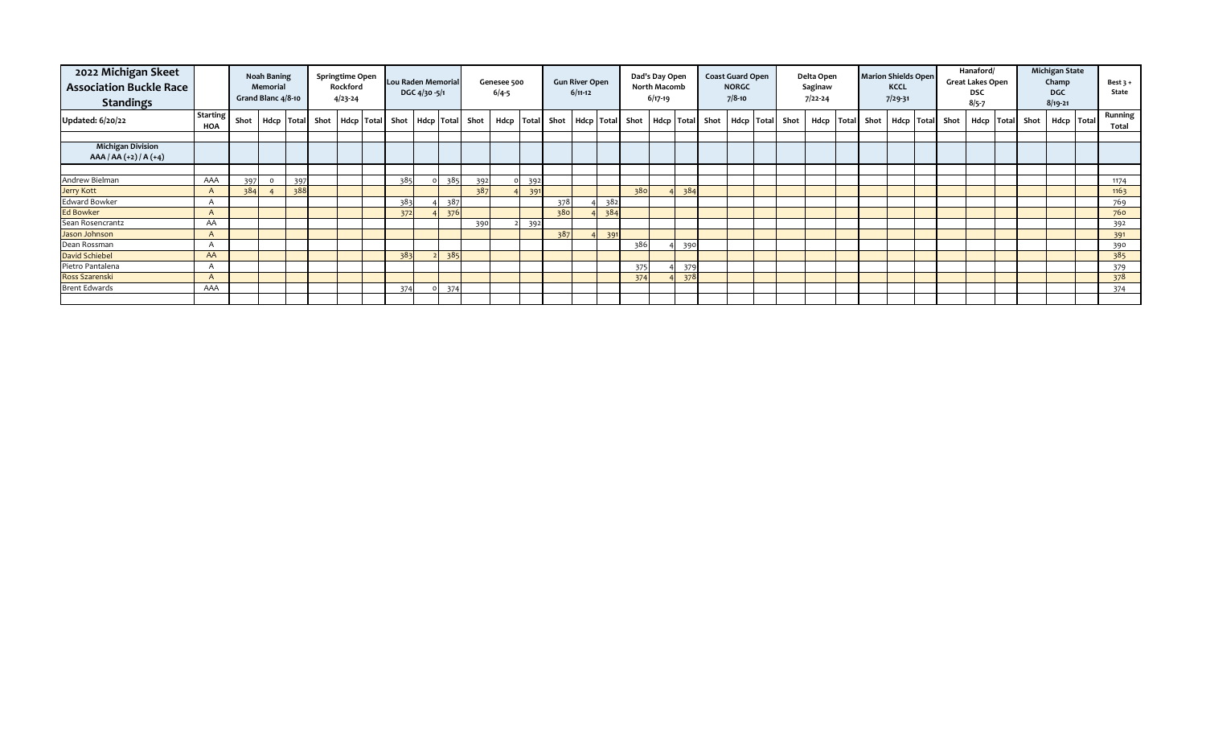| 2022 Michigan Skeet<br><b>Association Buckle Race</b><br><b>Standings</b> |                        |      | <b>Noah Baning</b><br><b>Memorial</b><br>Grand Blanc 4/8-10 |     | Springtime Open<br>Rockford<br>$4/23 - 24$ | Lou Raden Memorial                                        | DGC 4/30 -5/1 |     |     | Genesee 500<br>$6/4 - 5$ |     |                                                           | <b>Gun River Open</b><br>$6/11-12$ |     |     | Dad's Day Open<br>North Macomb<br>$6/17-19$ |     | <b>Coast Guard Open</b><br><b>NORGC</b><br>$7/8-10$ |                 | Delta Open<br>Saginaw<br>$7/22 - 24$ |                                   | <b>Marion Shields Open</b><br><b>KCCL</b><br>$7/29 - 31$ |  | Hanaford/<br><b>Great Lakes Open</b><br><b>DSC</b><br>$8/5 - 7$ |  | <b>Michigan State</b><br>Champ<br><b>DGC</b><br>$8/19 - 21$ | Best $3 +$<br>State |
|---------------------------------------------------------------------------|------------------------|------|-------------------------------------------------------------|-----|--------------------------------------------|-----------------------------------------------------------|---------------|-----|-----|--------------------------|-----|-----------------------------------------------------------|------------------------------------|-----|-----|---------------------------------------------|-----|-----------------------------------------------------|-----------------|--------------------------------------|-----------------------------------|----------------------------------------------------------|--|-----------------------------------------------------------------|--|-------------------------------------------------------------|---------------------|
| <b>Updated: 6/20/22</b>                                                   | <b>Starting</b><br>HOA | Shot |                                                             |     |                                            | Hdcp   Total Shot   Hdcp   Total Shot   Hdcp   Total Shot |               |     |     |                          |     | Hdcp   Total Shot   Hdcp   Total Shot   Hdcp   Total Shot |                                    |     |     |                                             |     |                                                     | Hdcp Total Shot |                                      | Hdcp Total Shot   Hdcp Total Shot |                                                          |  |                                                                 |  | Hdcp   Total Shot   Hdcp   Total                            | Running<br>Total    |
|                                                                           |                        |      |                                                             |     |                                            |                                                           |               |     |     |                          |     |                                                           |                                    |     |     |                                             |     |                                                     |                 |                                      |                                   |                                                          |  |                                                                 |  |                                                             |                     |
| <b>Michigan Division</b><br>$AAA / AA (+2) / A (+4)$                      |                        |      |                                                             |     |                                            |                                                           |               |     |     |                          |     |                                                           |                                    |     |     |                                             |     |                                                     |                 |                                      |                                   |                                                          |  |                                                                 |  |                                                             |                     |
|                                                                           |                        |      |                                                             |     |                                            |                                                           |               |     |     |                          |     |                                                           |                                    |     |     |                                             |     |                                                     |                 |                                      |                                   |                                                          |  |                                                                 |  |                                                             |                     |
| Andrew Bielman                                                            | AAA                    | 397  | $\Omega$                                                    | 397 |                                            | 385                                                       |               | 385 | 392 |                          | 392 |                                                           |                                    |     |     |                                             |     |                                                     |                 |                                      |                                   |                                                          |  |                                                                 |  |                                                             | 1174                |
| Jerry Kott                                                                | $\mathsf{A}$           | 384  |                                                             | 388 |                                            |                                                           |               |     | 387 |                          | 391 |                                                           |                                    |     | 380 |                                             | 384 |                                                     |                 |                                      |                                   |                                                          |  |                                                                 |  |                                                             | 1163                |
| <b>Edward Bowker</b>                                                      | A                      |      |                                                             |     |                                            | 383                                                       |               | 387 |     |                          |     | 378                                                       |                                    | 382 |     |                                             |     |                                                     |                 |                                      |                                   |                                                          |  |                                                                 |  |                                                             | 769                 |
| <b>Ed Bowker</b>                                                          | A                      |      |                                                             |     |                                            | 372                                                       |               | 376 |     |                          |     | 380                                                       |                                    | 384 |     |                                             |     |                                                     |                 |                                      |                                   |                                                          |  |                                                                 |  |                                                             | 760                 |
| Sean Rosencrantz                                                          | AA                     |      |                                                             |     |                                            |                                                           |               |     | 390 |                          | 392 |                                                           |                                    |     |     |                                             |     |                                                     |                 |                                      |                                   |                                                          |  |                                                                 |  |                                                             | 392                 |
| Jason Johnson                                                             | A                      |      |                                                             |     |                                            |                                                           |               |     |     |                          |     | 387                                                       |                                    | 391 |     |                                             |     |                                                     |                 |                                      |                                   |                                                          |  |                                                                 |  |                                                             | 391                 |
| Dean Rossman                                                              |                        |      |                                                             |     |                                            |                                                           |               |     |     |                          |     |                                                           |                                    |     | 386 |                                             | 390 |                                                     |                 |                                      |                                   |                                                          |  |                                                                 |  |                                                             | 390                 |
| David Schiebel                                                            | AA                     |      |                                                             |     |                                            | 383                                                       |               | 385 |     |                          |     |                                                           |                                    |     |     |                                             |     |                                                     |                 |                                      |                                   |                                                          |  |                                                                 |  |                                                             | 385                 |
| Pietro Pantalena                                                          |                        |      |                                                             |     |                                            |                                                           |               |     |     |                          |     |                                                           |                                    |     | 375 |                                             | 379 |                                                     |                 |                                      |                                   |                                                          |  |                                                                 |  |                                                             | 379                 |
| Ross Szarenski                                                            | A                      |      |                                                             |     |                                            |                                                           |               |     |     |                          |     |                                                           |                                    |     | 374 |                                             | 378 |                                                     |                 |                                      |                                   |                                                          |  |                                                                 |  |                                                             | 378                 |
| <b>Brent Edwards</b>                                                      | AAA                    |      |                                                             |     |                                            | 374                                                       |               | 374 |     |                          |     |                                                           |                                    |     |     |                                             |     |                                                     |                 |                                      |                                   |                                                          |  |                                                                 |  |                                                             | 374                 |
|                                                                           |                        |      |                                                             |     |                                            |                                                           |               |     |     |                          |     |                                                           |                                    |     |     |                                             |     |                                                     |                 |                                      |                                   |                                                          |  |                                                                 |  |                                                             |                     |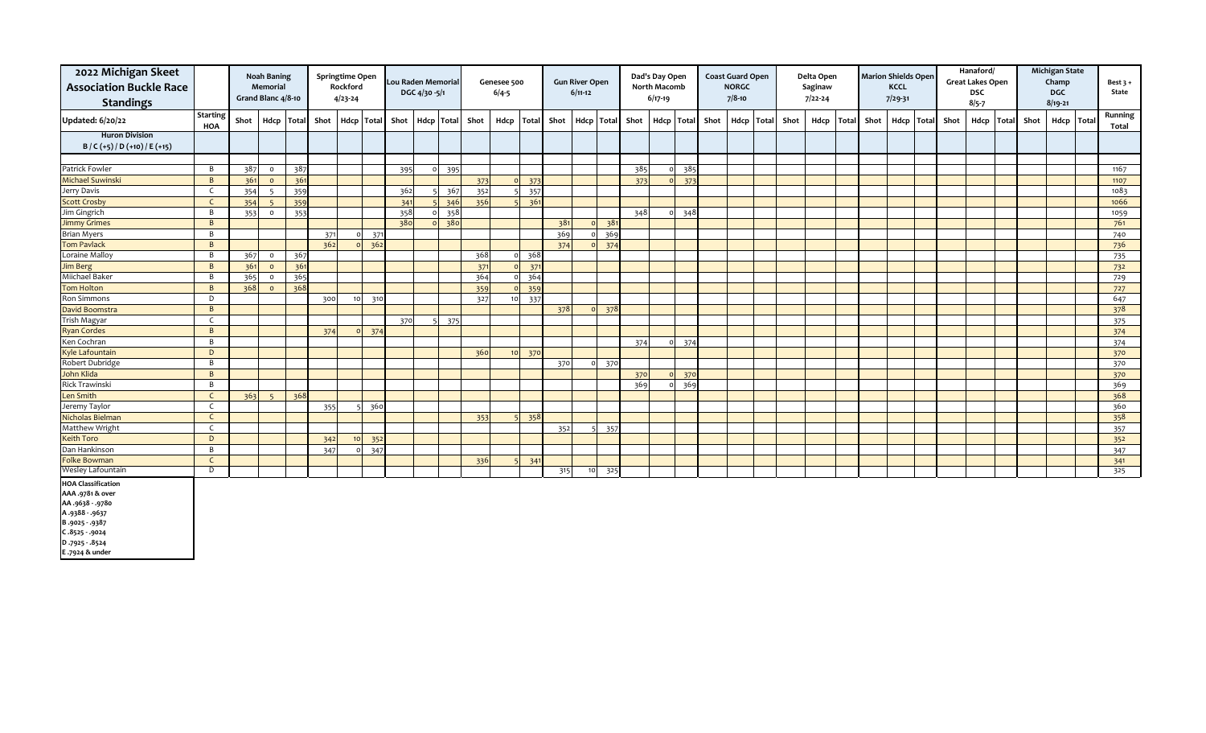| 2022 Michigan Skeet<br><b>Association Buckle Race</b><br><b>Standings</b>                                                            |                        |      | <b>Noah Baning</b><br>Memorial<br>Grand Blanc 4/8-10 |                 |      | Springtime Open<br>Rockford<br>$4/23 - 24$ |                  | <b>Lou Raden Memorial</b> | DGC 4/30 -5/1 |     |                 | Genesee 500<br>$6/4 - 5$ |     |      | <b>Gun River Open</b><br>$6/11-12$ |                 |            | Dad's Day Open<br>North Macomb<br>$6/17-19$ |                 |      | <b>Coast Guard Open</b><br><b>NORGC</b><br>$7/8 - 10$ |            |      | Delta Open<br>Saginaw<br>$7/22 - 24$ |              |      | <b>Marion Shields Open</b><br>KCCL<br>$7/29 - 31$ |            |      | Hanaford/<br><b>Great Lakes Open</b><br>DSC<br>$8/5 - 7$ |              |      | <b>Michigan State</b><br>Champ<br><b>DGC</b><br>$8/19 - 21$ |       | Best $3 +$<br>State |
|--------------------------------------------------------------------------------------------------------------------------------------|------------------------|------|------------------------------------------------------|-----------------|------|--------------------------------------------|------------------|---------------------------|---------------|-----|-----------------|--------------------------|-----|------|------------------------------------|-----------------|------------|---------------------------------------------|-----------------|------|-------------------------------------------------------|------------|------|--------------------------------------|--------------|------|---------------------------------------------------|------------|------|----------------------------------------------------------|--------------|------|-------------------------------------------------------------|-------|---------------------|
| <b>Updated: 6/20/22</b>                                                                                                              | <b>Starting</b><br>HOA | Shot | Hdcp Total                                           |                 | Shot |                                            | Hdcp Total       | Shot                      |               |     | Hdcp Total Shot | Hdcp Total               |     | Shot | Hdcp                               |                 | Total Shot |                                             | Hdcp Total      | Shot |                                                       | Hdcp Total | Shot | Hdcp                                 | <b>Total</b> | Shot |                                                   | Hdcp Total | Shot | Hdcp                                                     | <b>Total</b> | Shot | Hdcp                                                        | Total | Running<br>Total    |
| <b>Huron Division</b>                                                                                                                |                        |      |                                                      |                 |      |                                            |                  |                           |               |     |                 |                          |     |      |                                    |                 |            |                                             |                 |      |                                                       |            |      |                                      |              |      |                                                   |            |      |                                                          |              |      |                                                             |       |                     |
| $B / C (+5) / D (+10) / E (+15)$                                                                                                     |                        |      |                                                      |                 |      |                                            |                  |                           |               |     |                 |                          |     |      |                                    |                 |            |                                             |                 |      |                                                       |            |      |                                      |              |      |                                                   |            |      |                                                          |              |      |                                                             |       |                     |
|                                                                                                                                      |                        |      |                                                      |                 |      |                                            |                  |                           |               |     |                 |                          |     |      |                                    |                 |            |                                             |                 |      |                                                       |            |      |                                      |              |      |                                                   |            |      |                                                          |              |      |                                                             |       |                     |
| Patrick Fowler                                                                                                                       | B                      | 387  | $\circ$                                              | 387             |      |                                            |                  | 395                       | $\Omega$      | 395 |                 |                          |     |      |                                    |                 | 385        |                                             | 385             |      |                                                       |            |      |                                      |              |      |                                                   |            |      |                                                          |              |      |                                                             |       | 1167                |
| <b>Michael Suwinski</b>                                                                                                              | B                      | 361  | $\circ$                                              | 361             |      |                                            |                  |                           |               |     | 373             | $\Omega$                 | 373 |      |                                    |                 | 373        |                                             | 373<br>$\Omega$ |      |                                                       |            |      |                                      |              |      |                                                   |            |      |                                                          |              |      |                                                             |       | 1107                |
| Jerry Davis                                                                                                                          | $\mathsf{C}$           | 354  | 5                                                    | 35 <sub>9</sub> |      |                                            |                  | 362                       |               | 367 | 352             |                          | 357 |      |                                    |                 |            |                                             |                 |      |                                                       |            |      |                                      |              |      |                                                   |            |      |                                                          |              |      |                                                             |       | 1083                |
| <b>Scott Crosby</b>                                                                                                                  | $\mathsf{C}$           | 354  | $\overline{5}$                                       | 359             |      |                                            |                  | 341                       |               | 346 | 356             |                          | 361 |      |                                    |                 |            |                                             |                 |      |                                                       |            |      |                                      |              |      |                                                   |            |      |                                                          |              |      |                                                             |       | 1066                |
| Jim Gingrich                                                                                                                         | $\overline{B}$         | 353  | $\circ$                                              | 353             |      |                                            |                  | 358                       | $\circ$       | 358 |                 |                          |     |      |                                    |                 | 348        |                                             | 348<br>$\Omega$ |      |                                                       |            |      |                                      |              |      |                                                   |            |      |                                                          |              |      |                                                             |       | 1059                |
| <b>Jimmy Grimes</b>                                                                                                                  | $\overline{B}$         |      |                                                      |                 |      |                                            |                  | 380                       | $\Omega$      | 380 |                 |                          |     | 381  |                                    | 381             |            |                                             |                 |      |                                                       |            |      |                                      |              |      |                                                   |            |      |                                                          |              |      |                                                             |       | 761                 |
| <b>Brian Myers</b>                                                                                                                   | B                      |      |                                                      |                 | 371  |                                            | $0\frac{371}{ }$ |                           |               |     |                 |                          |     | 369  |                                    | 369             |            |                                             |                 |      |                                                       |            |      |                                      |              |      |                                                   |            |      |                                                          |              |      |                                                             |       | 740                 |
| <b>Tom Pavlack</b>                                                                                                                   | B                      |      |                                                      |                 | 362  |                                            | $0 \t362$        |                           |               |     |                 |                          |     | 374  |                                    | 374<br>$\circ$  |            |                                             |                 |      |                                                       |            |      |                                      |              |      |                                                   |            |      |                                                          |              |      |                                                             |       | 736                 |
| Loraine Malloy                                                                                                                       | B                      | 367  | $\circ$                                              | 367             |      |                                            |                  |                           |               |     | 368             | $\Omega$                 | 368 |      |                                    |                 |            |                                             |                 |      |                                                       |            |      |                                      |              |      |                                                   |            |      |                                                          |              |      |                                                             |       | 735                 |
| Jim Berg                                                                                                                             | $\overline{B}$         | 361  | $\circ$                                              | 36 <sup>°</sup> |      |                                            |                  |                           |               |     | 371             |                          | 371 |      |                                    |                 |            |                                             |                 |      |                                                       |            |      |                                      |              |      |                                                   |            |      |                                                          |              |      |                                                             |       | 732                 |
| Miichael Baker                                                                                                                       | B                      | 365  | $\circ$                                              | 365             |      |                                            |                  |                           |               |     | 364             | $\Omega$                 | 364 |      |                                    |                 |            |                                             |                 |      |                                                       |            |      |                                      |              |      |                                                   |            |      |                                                          |              |      |                                                             |       | 729                 |
| <b>Tom Holton</b>                                                                                                                    | $\overline{B}$         | 368  | $\circ$                                              | 368             |      |                                            |                  |                           |               |     | 359             | $\Omega$                 | 359 |      |                                    |                 |            |                                             |                 |      |                                                       |            |      |                                      |              |      |                                                   |            |      |                                                          |              |      |                                                             |       | 727                 |
| Ron Simmons                                                                                                                          | D                      |      |                                                      |                 | 300  | 10                                         | 310              |                           |               |     | 327             | 10                       | 337 |      |                                    |                 |            |                                             |                 |      |                                                       |            |      |                                      |              |      |                                                   |            |      |                                                          |              |      |                                                             |       | 647                 |
| David Boomstra                                                                                                                       | $\mathsf{B}$           |      |                                                      |                 |      |                                            |                  |                           |               |     |                 |                          |     | 378  |                                    | 378<br>$\Omega$ |            |                                             |                 |      |                                                       |            |      |                                      |              |      |                                                   |            |      |                                                          |              |      |                                                             |       | 378                 |
| Trish Magyar                                                                                                                         | C                      |      |                                                      |                 |      |                                            |                  | 370                       |               | 375 |                 |                          |     |      |                                    |                 |            |                                             |                 |      |                                                       |            |      |                                      |              |      |                                                   |            |      |                                                          |              |      |                                                             |       | 375                 |
| <b>Ryan Cordes</b>                                                                                                                   | B                      |      |                                                      |                 | 374  |                                            | 0 374            |                           |               |     |                 |                          |     |      |                                    |                 |            |                                             |                 |      |                                                       |            |      |                                      |              |      |                                                   |            |      |                                                          |              |      |                                                             |       | 374                 |
| Ken Cochran                                                                                                                          | B                      |      |                                                      |                 |      |                                            |                  |                           |               |     |                 |                          |     |      |                                    |                 | 374        |                                             | 374<br>$\Omega$ |      |                                                       |            |      |                                      |              |      |                                                   |            |      |                                                          |              |      |                                                             |       | 374                 |
| Kyle Lafountain                                                                                                                      | D                      |      |                                                      |                 |      |                                            |                  |                           |               |     | 360             | 10 <sup>1</sup>          | 370 |      |                                    |                 |            |                                             |                 |      |                                                       |            |      |                                      |              |      |                                                   |            |      |                                                          |              |      |                                                             |       | 370                 |
| Robert Dubridge                                                                                                                      | B                      |      |                                                      |                 |      |                                            |                  |                           |               |     |                 |                          |     | 370  |                                    | 370<br>$\circ$  |            |                                             |                 |      |                                                       |            |      |                                      |              |      |                                                   |            |      |                                                          |              |      |                                                             |       | 370                 |
| John Klida                                                                                                                           | B                      |      |                                                      |                 |      |                                            |                  |                           |               |     |                 |                          |     |      |                                    |                 | 370        |                                             | 370<br>$\Omega$ |      |                                                       |            |      |                                      |              |      |                                                   |            |      |                                                          |              |      |                                                             |       | 370                 |
| Rick Trawinski                                                                                                                       | B                      |      |                                                      |                 |      |                                            |                  |                           |               |     |                 |                          |     |      |                                    |                 | 369        |                                             | 36 <sup>c</sup> |      |                                                       |            |      |                                      |              |      |                                                   |            |      |                                                          |              |      |                                                             |       | 369                 |
| Len Smith                                                                                                                            | $\mathsf{C}$           | 363  | 5 <sup>5</sup>                                       | 368             |      |                                            |                  |                           |               |     |                 |                          |     |      |                                    |                 |            |                                             |                 |      |                                                       |            |      |                                      |              |      |                                                   |            |      |                                                          |              |      |                                                             |       | 368                 |
| Jeremy Taylor                                                                                                                        | C                      |      |                                                      |                 | 355  |                                            | 5 360            |                           |               |     |                 |                          |     |      |                                    |                 |            |                                             |                 |      |                                                       |            |      |                                      |              |      |                                                   |            |      |                                                          |              |      |                                                             |       | 360                 |
| Nicholas Bielman                                                                                                                     | $\mathsf{C}$           |      |                                                      |                 |      |                                            |                  |                           |               |     | 353             |                          | 358 |      |                                    |                 |            |                                             |                 |      |                                                       |            |      |                                      |              |      |                                                   |            |      |                                                          |              |      |                                                             |       | 358                 |
| Matthew Wright                                                                                                                       | C                      |      |                                                      |                 |      |                                            |                  |                           |               |     |                 |                          |     | 352  | $5 -$                              | 357             |            |                                             |                 |      |                                                       |            |      |                                      |              |      |                                                   |            |      |                                                          |              |      |                                                             |       | 357                 |
| <b>Keith Toro</b>                                                                                                                    | D                      |      |                                                      |                 | 342  | 10 <sup>1</sup>                            | 352              |                           |               |     |                 |                          |     |      |                                    |                 |            |                                             |                 |      |                                                       |            |      |                                      |              |      |                                                   |            |      |                                                          |              |      |                                                             |       | 352                 |
| Dan Hankinson                                                                                                                        | B                      |      |                                                      |                 | 347  |                                            | 347<br>$\circ$   |                           |               |     |                 |                          |     |      |                                    |                 |            |                                             |                 |      |                                                       |            |      |                                      |              |      |                                                   |            |      |                                                          |              |      |                                                             |       | 347                 |
| <b>Folke Bowman</b>                                                                                                                  | C                      |      |                                                      |                 |      |                                            |                  |                           |               |     | 336             |                          | 341 |      |                                    |                 |            |                                             |                 |      |                                                       |            |      |                                      |              |      |                                                   |            |      |                                                          |              |      |                                                             |       | 341                 |
| Wesley Lafountain                                                                                                                    | D                      |      |                                                      |                 |      |                                            |                  |                           |               |     |                 |                          |     | 315  | 10 <sup>1</sup>                    | 325             |            |                                             |                 |      |                                                       |            |      |                                      |              |      |                                                   |            |      |                                                          |              |      |                                                             |       | 325                 |
| <b>HOA Classification</b><br>AAA .9781 & over<br>AA.9638-.9780<br>A.9388-.9637<br>B.9025 - .9387<br>C.8525 - .9024<br>D.7925 - .8524 |                        |      |                                                      |                 |      |                                            |                  |                           |               |     |                 |                          |     |      |                                    |                 |            |                                             |                 |      |                                                       |            |      |                                      |              |      |                                                   |            |      |                                                          |              |      |                                                             |       |                     |

**D .7925 ‐ .8524 E .7924 & under**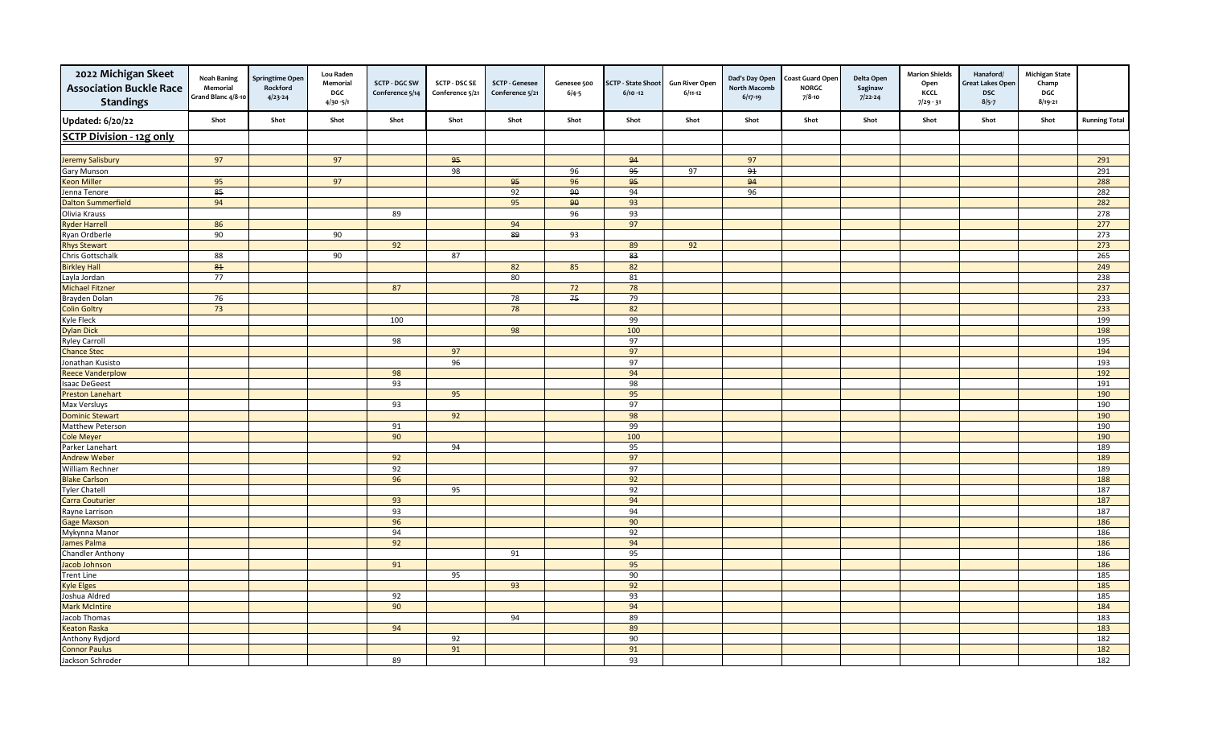| 2022 Michigan Skeet<br><b>Association Buckle Race</b><br><b>Standings</b> | <b>Noah Baning</b><br>Memorial<br>Grand Blanc 4/8-10 | <b>Springtime Oper</b><br>Rockford<br>$4/23 - 24$ | <b>Lou Raden</b><br>Memorial<br>DGC<br>$4/30 - 5/1$ | <b>SCTP - DGC SW</b><br>Conference 5/14 | <b>SCTP - DSC SE</b><br>Conference 5/21 | <b>SCTP - Genesee</b><br>Conference 5/21 | Genesee 500<br>$6/4 - 5$ | <b>SCTP - State Shoot</b><br>$6/10 - 12$ | <b>Gun River Open</b><br>$6/11-12$ | Dad's Day Open<br><b>North Macomb</b><br>$6/17-19$ | <b>Coast Guard Open</b><br><b>NORGC</b><br>$7/8 - 10$ | Delta Open<br>Saginaw<br>$7/22 - 24$ | <b>Marion Shields</b><br>Open<br>KCCL<br>$7/29 - 31$ | Hanaford/<br><b>Great Lakes Open</b><br>DSC<br>$8/5 - 7$ | <b>Michigan State</b><br>Champ<br>DGC<br>$8/19 - 21$ |                      |
|---------------------------------------------------------------------------|------------------------------------------------------|---------------------------------------------------|-----------------------------------------------------|-----------------------------------------|-----------------------------------------|------------------------------------------|--------------------------|------------------------------------------|------------------------------------|----------------------------------------------------|-------------------------------------------------------|--------------------------------------|------------------------------------------------------|----------------------------------------------------------|------------------------------------------------------|----------------------|
| <b>Updated: 6/20/22</b>                                                   | Shot                                                 | Shot                                              | Shot                                                | Shot                                    | Shot                                    | Shot                                     | Shot                     | Shot                                     | Shot                               | Shot                                               | Shot                                                  | Shot                                 | Shot                                                 | Shot                                                     | Shot                                                 | <b>Running Total</b> |
| <b>SCTP Division - 12g only</b>                                           |                                                      |                                                   |                                                     |                                         |                                         |                                          |                          |                                          |                                    |                                                    |                                                       |                                      |                                                      |                                                          |                                                      |                      |
|                                                                           |                                                      |                                                   |                                                     |                                         |                                         |                                          |                          |                                          |                                    |                                                    |                                                       |                                      |                                                      |                                                          |                                                      |                      |
| <b>Jeremy Salisbury</b>                                                   | 97                                                   |                                                   | 97                                                  |                                         | 95                                      |                                          |                          | 94                                       |                                    | 97                                                 |                                                       |                                      |                                                      |                                                          |                                                      | 291                  |
| <b>Gary Munson</b>                                                        |                                                      |                                                   |                                                     |                                         | 98                                      |                                          | 96                       | 95                                       | 97                                 | 91                                                 |                                                       |                                      |                                                      |                                                          |                                                      | 291                  |
| <b>Keon Miller</b>                                                        | 95                                                   |                                                   | 97                                                  |                                         |                                         | 95                                       | 96                       | 95                                       |                                    | 94                                                 |                                                       |                                      |                                                      |                                                          |                                                      | 288                  |
| Jenna Tenore                                                              | 85                                                   |                                                   |                                                     |                                         |                                         | 92                                       | 90                       | 94                                       |                                    | 96                                                 |                                                       |                                      |                                                      |                                                          |                                                      | 282                  |
| <b>Dalton Summerfield</b>                                                 | 94                                                   |                                                   |                                                     |                                         |                                         | 95                                       | 90                       | 93                                       |                                    |                                                    |                                                       |                                      |                                                      |                                                          |                                                      | 282                  |
| Olivia Krauss                                                             |                                                      |                                                   |                                                     | 89                                      |                                         |                                          | 96                       | 93                                       |                                    |                                                    |                                                       |                                      |                                                      |                                                          |                                                      | 278                  |
| <b>Ryder Harrell</b>                                                      | 86                                                   |                                                   |                                                     |                                         |                                         | 94                                       |                          | 97                                       |                                    |                                                    |                                                       |                                      |                                                      |                                                          |                                                      | 277                  |
| Ryan Ordberle                                                             | 90                                                   |                                                   | 90                                                  |                                         |                                         | $\overline{\mathbf{g}}$                  | 93                       |                                          |                                    |                                                    |                                                       |                                      |                                                      |                                                          |                                                      | 273                  |
| <b>Rhys Stewart</b>                                                       |                                                      |                                                   |                                                     | 92                                      |                                         |                                          |                          | 89                                       | 92                                 |                                                    |                                                       |                                      |                                                      |                                                          |                                                      | 273                  |
| Chris Gottschalk                                                          | 88                                                   |                                                   | 90                                                  |                                         | 87                                      |                                          |                          | 83                                       |                                    |                                                    |                                                       |                                      |                                                      |                                                          |                                                      | 265                  |
| <b>Birkley Hall</b>                                                       | ${\bf 81}$                                           |                                                   |                                                     |                                         |                                         | 82                                       | 85                       | 82                                       |                                    |                                                    |                                                       |                                      |                                                      |                                                          |                                                      | 249                  |
| Layla Jordan                                                              | 77                                                   |                                                   |                                                     |                                         |                                         | 80                                       |                          | 81                                       |                                    |                                                    |                                                       |                                      |                                                      |                                                          |                                                      | 238                  |
| <b>Michael Fitzner</b>                                                    |                                                      |                                                   |                                                     | 87                                      |                                         |                                          | 72                       | 78                                       |                                    |                                                    |                                                       |                                      |                                                      |                                                          |                                                      | 237                  |
| Brayden Dolan                                                             | 76                                                   |                                                   |                                                     |                                         |                                         | 78                                       | 75                       | 79                                       |                                    |                                                    |                                                       |                                      |                                                      |                                                          |                                                      | 233                  |
| <b>Colin Goltry</b>                                                       | 73                                                   |                                                   |                                                     |                                         |                                         | 78                                       |                          | 82                                       |                                    |                                                    |                                                       |                                      |                                                      |                                                          |                                                      | 233                  |
| <b>Kyle Fleck</b>                                                         |                                                      |                                                   |                                                     | 100                                     |                                         |                                          |                          | 99                                       |                                    |                                                    |                                                       |                                      |                                                      |                                                          |                                                      | 199                  |
| <b>Dylan Dick</b>                                                         |                                                      |                                                   |                                                     |                                         |                                         | 98                                       |                          | 100                                      |                                    |                                                    |                                                       |                                      |                                                      |                                                          |                                                      | 198                  |
| <b>Ryley Carroll</b>                                                      |                                                      |                                                   |                                                     | 98                                      |                                         |                                          |                          | 97                                       |                                    |                                                    |                                                       |                                      |                                                      |                                                          |                                                      | 195                  |
| <b>Chance Stec</b>                                                        |                                                      |                                                   |                                                     |                                         | 97                                      |                                          |                          | 97                                       |                                    |                                                    |                                                       |                                      |                                                      |                                                          |                                                      | 194                  |
| Jonathan Kusisto                                                          |                                                      |                                                   |                                                     |                                         | 96                                      |                                          |                          | 97                                       |                                    |                                                    |                                                       |                                      |                                                      |                                                          |                                                      | 193                  |
| <b>Reece Vanderplow</b>                                                   |                                                      |                                                   |                                                     | 98                                      |                                         |                                          |                          | 94                                       |                                    |                                                    |                                                       |                                      |                                                      |                                                          |                                                      | 192                  |
| <b>Isaac DeGeest</b>                                                      |                                                      |                                                   |                                                     | 93                                      |                                         |                                          |                          | 98                                       |                                    |                                                    |                                                       |                                      |                                                      |                                                          |                                                      | 191                  |
| <b>Preston Lanehart</b>                                                   |                                                      |                                                   |                                                     |                                         | 95                                      |                                          |                          | 95                                       |                                    |                                                    |                                                       |                                      |                                                      |                                                          |                                                      | 190                  |
| Max Versluys                                                              |                                                      |                                                   |                                                     | 93                                      |                                         |                                          |                          | 97                                       |                                    |                                                    |                                                       |                                      |                                                      |                                                          |                                                      | 190                  |
| <b>Dominic Stewart</b>                                                    |                                                      |                                                   |                                                     |                                         | 92                                      |                                          |                          | 98                                       |                                    |                                                    |                                                       |                                      |                                                      |                                                          |                                                      | 190                  |
| Matthew Peterson                                                          |                                                      |                                                   |                                                     | 91                                      |                                         |                                          |                          | 99                                       |                                    |                                                    |                                                       |                                      |                                                      |                                                          |                                                      | 190                  |
| <b>Cole Meyer</b>                                                         |                                                      |                                                   |                                                     | 90                                      |                                         |                                          |                          | 100                                      |                                    |                                                    |                                                       |                                      |                                                      |                                                          |                                                      | 190                  |
| Parker Lanehart                                                           |                                                      |                                                   |                                                     |                                         | 94                                      |                                          |                          | 95                                       |                                    |                                                    |                                                       |                                      |                                                      |                                                          |                                                      | 189                  |
| <b>Andrew Weber</b>                                                       |                                                      |                                                   |                                                     | 92                                      |                                         |                                          |                          | 97<br>97                                 |                                    |                                                    |                                                       |                                      |                                                      |                                                          |                                                      | 189                  |
| <b>William Rechner</b>                                                    |                                                      |                                                   |                                                     | 92<br>96                                |                                         |                                          |                          |                                          |                                    |                                                    |                                                       |                                      |                                                      |                                                          |                                                      | 189<br>188           |
| <b>Blake Carlson</b>                                                      |                                                      |                                                   |                                                     |                                         | 95                                      |                                          |                          | 92<br>92                                 |                                    |                                                    |                                                       |                                      |                                                      |                                                          |                                                      | 187                  |
| <b>Tyler Chatell</b><br><b>Carra Couturier</b>                            |                                                      |                                                   |                                                     | 93                                      |                                         |                                          |                          | 94                                       |                                    |                                                    |                                                       |                                      |                                                      |                                                          |                                                      | 187                  |
| Rayne Larrison                                                            |                                                      |                                                   |                                                     | 93                                      |                                         |                                          |                          | 94                                       |                                    |                                                    |                                                       |                                      |                                                      |                                                          |                                                      | 187                  |
| <b>Gage Maxson</b>                                                        |                                                      |                                                   |                                                     | 96                                      |                                         |                                          |                          | 90                                       |                                    |                                                    |                                                       |                                      |                                                      |                                                          |                                                      | 186                  |
| Mykynna Manor                                                             |                                                      |                                                   |                                                     | 94                                      |                                         |                                          |                          | 92                                       |                                    |                                                    |                                                       |                                      |                                                      |                                                          |                                                      | 186                  |
| James Palma                                                               |                                                      |                                                   |                                                     | 92                                      |                                         |                                          |                          | 94                                       |                                    |                                                    |                                                       |                                      |                                                      |                                                          |                                                      | 186                  |
| <b>Chandler Anthony</b>                                                   |                                                      |                                                   |                                                     |                                         |                                         | 91                                       |                          | 95                                       |                                    |                                                    |                                                       |                                      |                                                      |                                                          |                                                      | 186                  |
| Jacob Johnson                                                             |                                                      |                                                   |                                                     | 91                                      |                                         |                                          |                          | 95                                       |                                    |                                                    |                                                       |                                      |                                                      |                                                          |                                                      | 186                  |
| <b>Trent Line</b>                                                         |                                                      |                                                   |                                                     |                                         | 95                                      |                                          |                          | 90                                       |                                    |                                                    |                                                       |                                      |                                                      |                                                          |                                                      | 185                  |
| <b>Kyle Elges</b>                                                         |                                                      |                                                   |                                                     |                                         |                                         | 93                                       |                          | 92                                       |                                    |                                                    |                                                       |                                      |                                                      |                                                          |                                                      | 185                  |
| Joshua Aldred                                                             |                                                      |                                                   |                                                     | 92                                      |                                         |                                          |                          | 93                                       |                                    |                                                    |                                                       |                                      |                                                      |                                                          |                                                      | 185                  |
| <b>Mark McIntire</b>                                                      |                                                      |                                                   |                                                     | 90                                      |                                         |                                          |                          | 94                                       |                                    |                                                    |                                                       |                                      |                                                      |                                                          |                                                      | 184                  |
| Jacob Thomas                                                              |                                                      |                                                   |                                                     |                                         |                                         | 94                                       |                          | 89                                       |                                    |                                                    |                                                       |                                      |                                                      |                                                          |                                                      | 183                  |
| <b>Keaton Raska</b>                                                       |                                                      |                                                   |                                                     | 94                                      |                                         |                                          |                          | 89                                       |                                    |                                                    |                                                       |                                      |                                                      |                                                          |                                                      | 183                  |
| Anthony Rydjord                                                           |                                                      |                                                   |                                                     |                                         | 92                                      |                                          |                          | 90                                       |                                    |                                                    |                                                       |                                      |                                                      |                                                          |                                                      | 182                  |
| <b>Connor Paulus</b>                                                      |                                                      |                                                   |                                                     |                                         | 91                                      |                                          |                          | 91                                       |                                    |                                                    |                                                       |                                      |                                                      |                                                          |                                                      | 182                  |
| Jackson Schroder                                                          |                                                      |                                                   |                                                     | 89                                      |                                         |                                          |                          | 93                                       |                                    |                                                    |                                                       |                                      |                                                      |                                                          |                                                      | 182                  |
|                                                                           |                                                      |                                                   |                                                     |                                         |                                         |                                          |                          |                                          |                                    |                                                    |                                                       |                                      |                                                      |                                                          |                                                      |                      |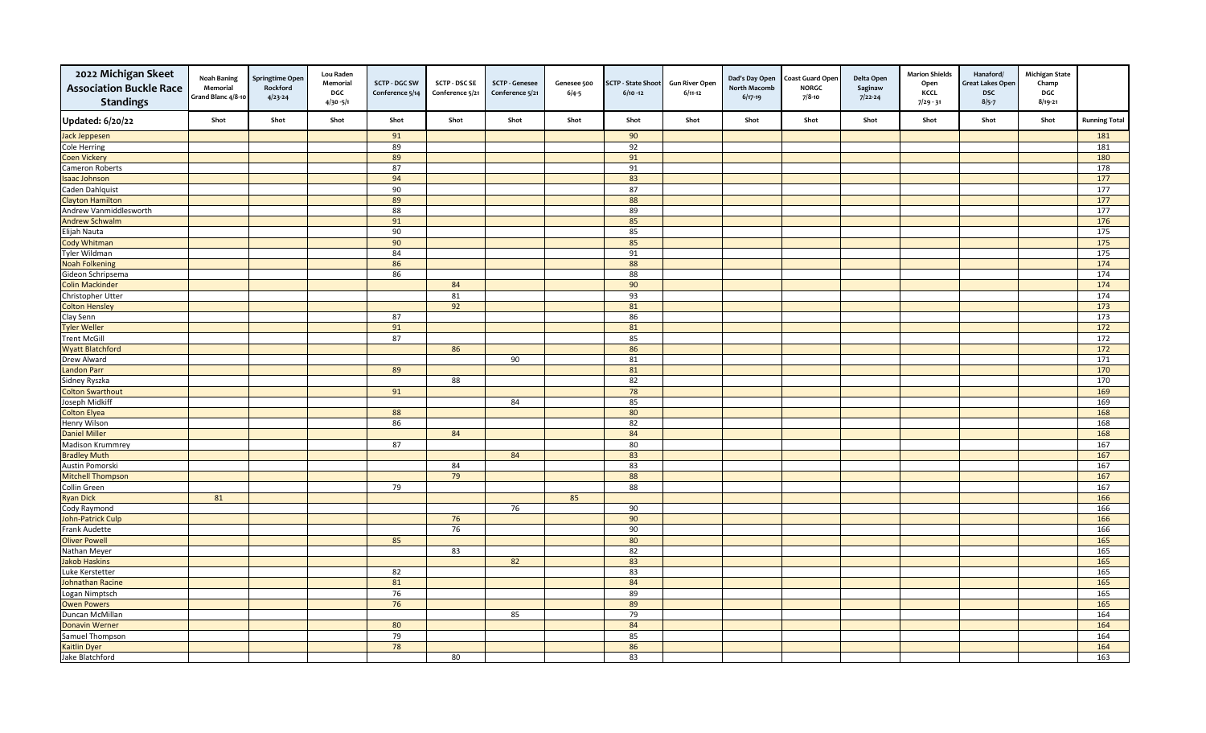| <b>Updated: 6/20/22</b><br>Shot<br>Shot<br>Shot<br>Shot<br>Shot<br>Shot<br>Shot<br>Shot<br>Shot<br>Shot<br>Shot<br>Shot<br><b>Running Total</b><br>Shot<br>Shot<br>Shot<br>90<br>Jack Jeppesen<br>91<br>181<br>Cole Herring<br>89<br>92<br>181<br>89<br>91<br>180<br><b>Coen Vickery</b><br>178<br>Cameron Roberts<br>87<br>91<br>83<br>177<br>94<br><b>Isaac Johnson</b><br>90<br>87<br>177<br>Caden Dahlquist<br>88<br>177<br><b>Clayton Hamilton</b><br>89<br>88<br>89<br>177<br>Andrew Vanmiddlesworth<br>91<br>85<br>176<br><b>Andrew Schwalm</b><br>85<br>90<br>175<br>Elijah Nauta<br>90<br>85<br>175<br><b>Cody Whitman</b><br>84<br>91<br>175<br>Tyler Wildman<br>86<br>88<br>174<br><b>Noah Folkening</b><br>86<br>88<br>174<br>Gideon Schripsema<br>84<br>90<br>174<br><b>Colin Mackinder</b><br>81<br>93<br>174<br>Christopher Utter<br>$\frac{173}{2}$<br><b>Colton Hensley</b><br>92<br>81<br>86<br>173<br>Clay Senn<br>87<br>91<br>81<br>$\frac{172}{ }$<br><b>Tyler Weller</b><br>85<br>172<br><b>Trent McGill</b><br>87<br>86<br>86<br>172<br><b>Wyatt Blatchford</b><br>90<br>81<br>171<br>Drew Alward<br>81<br>170<br><b>Landon Parr</b><br>89<br>82<br>170<br>88<br>Sidney Ryszka<br>78<br>169<br><b>Colton Swarthout</b><br>91<br>85<br>169<br>Joseph Midkiff<br>84<br>88<br>80<br>168<br><b>Colton Elyea</b><br>86<br>82<br>168<br>Henry Wilson<br>84<br>168<br><b>Daniel Miller</b><br>84<br>87<br>80<br>167<br><b>Madison Krummrey</b><br>84<br>83<br>167<br><b>Bradley Muth</b><br>83<br>167<br>84<br>Austin Pomorski<br>88<br><b>Mitchell Thompson</b><br>79<br>167<br>79<br>88<br>167<br>Collin Green<br>166<br>81<br>85<br><b>Ryan Dick</b><br>166<br>Cody Raymond<br>76<br>90<br>76<br>90<br>166<br>John-Patrick Culp<br>76<br>90<br>166<br>Frank Audette<br>80<br>165<br><b>Oliver Powell</b><br>85<br>82<br>83<br>165<br>Nathan Meyer<br>82<br>83<br>165<br><b>Jakob Haskins</b><br>83<br>165<br>82<br>Luke Kerstetter<br>84<br>165<br><b>Johnathan Racine</b><br>81<br>76<br>89<br>165<br>Logan Nimptsch<br>76<br>89<br>165<br><b>Owen Powers</b><br>85<br>79<br>164<br>Duncan McMillan<br>80<br>84<br>164<br><b>Donavin Werner</b><br>79<br>85<br>164<br>Samuel Thompson<br>78<br>86<br>164<br><b>Kaitlin Dyer</b><br>83<br>163<br>80 | 2022 Michigan Skeet<br><b>Association Buckle Race</b><br><b>Standings</b> | <b>Noah Baning</b><br>Memorial<br>Grand Blanc 4/8-10 | <b>Springtime Open</b><br>Rockford<br>$4/23 - 24$ | Lou Raden<br>Memorial<br>DGC<br>$4/30 - 5/1$ | <b>SCTP - DGC SW</b><br>Conference 5/14 | <b>SCTP - DSC SE</b><br>Conference 5/21 | <b>SCTP - Genesee</b><br>Conference 5/21 | Genesee 500<br>$6/4 - 5$ | <b>SCTP - State Shoot</b><br>$6/10 - 12$ | <b>Gun River Open</b><br>$6/11-12$ | Dad's Day Open<br>North Macomb<br>$6/17-19$ | Coast Guard Open<br><b>NORGC</b><br>$7/8 - 10$ | Delta Open<br>Saginaw<br>$7/22 - 24$ | <b>Marion Shields</b><br>Open<br>KCCL<br>$7/29 - 31$ | Hanaford/<br><b>Great Lakes Open</b><br><b>DSC</b><br>$8/5 - 7$ | <b>Michigan State</b><br>Champ<br>DGC<br>$8/19 - 21$ |  |
|------------------------------------------------------------------------------------------------------------------------------------------------------------------------------------------------------------------------------------------------------------------------------------------------------------------------------------------------------------------------------------------------------------------------------------------------------------------------------------------------------------------------------------------------------------------------------------------------------------------------------------------------------------------------------------------------------------------------------------------------------------------------------------------------------------------------------------------------------------------------------------------------------------------------------------------------------------------------------------------------------------------------------------------------------------------------------------------------------------------------------------------------------------------------------------------------------------------------------------------------------------------------------------------------------------------------------------------------------------------------------------------------------------------------------------------------------------------------------------------------------------------------------------------------------------------------------------------------------------------------------------------------------------------------------------------------------------------------------------------------------------------------------------------------------------------------------------------------------------------------------------------------------------------------------------------------------------------------------------------------------------------------------------------------------------------------------------------------------------------------------------------------------------------------------------------------------------------------------------------------------------------------|---------------------------------------------------------------------------|------------------------------------------------------|---------------------------------------------------|----------------------------------------------|-----------------------------------------|-----------------------------------------|------------------------------------------|--------------------------|------------------------------------------|------------------------------------|---------------------------------------------|------------------------------------------------|--------------------------------------|------------------------------------------------------|-----------------------------------------------------------------|------------------------------------------------------|--|
|                                                                                                                                                                                                                                                                                                                                                                                                                                                                                                                                                                                                                                                                                                                                                                                                                                                                                                                                                                                                                                                                                                                                                                                                                                                                                                                                                                                                                                                                                                                                                                                                                                                                                                                                                                                                                                                                                                                                                                                                                                                                                                                                                                                                                                                                        |                                                                           |                                                      |                                                   |                                              |                                         |                                         |                                          |                          |                                          |                                    |                                             |                                                |                                      |                                                      |                                                                 |                                                      |  |
|                                                                                                                                                                                                                                                                                                                                                                                                                                                                                                                                                                                                                                                                                                                                                                                                                                                                                                                                                                                                                                                                                                                                                                                                                                                                                                                                                                                                                                                                                                                                                                                                                                                                                                                                                                                                                                                                                                                                                                                                                                                                                                                                                                                                                                                                        |                                                                           |                                                      |                                                   |                                              |                                         |                                         |                                          |                          |                                          |                                    |                                             |                                                |                                      |                                                      |                                                                 |                                                      |  |
|                                                                                                                                                                                                                                                                                                                                                                                                                                                                                                                                                                                                                                                                                                                                                                                                                                                                                                                                                                                                                                                                                                                                                                                                                                                                                                                                                                                                                                                                                                                                                                                                                                                                                                                                                                                                                                                                                                                                                                                                                                                                                                                                                                                                                                                                        |                                                                           |                                                      |                                                   |                                              |                                         |                                         |                                          |                          |                                          |                                    |                                             |                                                |                                      |                                                      |                                                                 |                                                      |  |
|                                                                                                                                                                                                                                                                                                                                                                                                                                                                                                                                                                                                                                                                                                                                                                                                                                                                                                                                                                                                                                                                                                                                                                                                                                                                                                                                                                                                                                                                                                                                                                                                                                                                                                                                                                                                                                                                                                                                                                                                                                                                                                                                                                                                                                                                        |                                                                           |                                                      |                                                   |                                              |                                         |                                         |                                          |                          |                                          |                                    |                                             |                                                |                                      |                                                      |                                                                 |                                                      |  |
|                                                                                                                                                                                                                                                                                                                                                                                                                                                                                                                                                                                                                                                                                                                                                                                                                                                                                                                                                                                                                                                                                                                                                                                                                                                                                                                                                                                                                                                                                                                                                                                                                                                                                                                                                                                                                                                                                                                                                                                                                                                                                                                                                                                                                                                                        |                                                                           |                                                      |                                                   |                                              |                                         |                                         |                                          |                          |                                          |                                    |                                             |                                                |                                      |                                                      |                                                                 |                                                      |  |
|                                                                                                                                                                                                                                                                                                                                                                                                                                                                                                                                                                                                                                                                                                                                                                                                                                                                                                                                                                                                                                                                                                                                                                                                                                                                                                                                                                                                                                                                                                                                                                                                                                                                                                                                                                                                                                                                                                                                                                                                                                                                                                                                                                                                                                                                        |                                                                           |                                                      |                                                   |                                              |                                         |                                         |                                          |                          |                                          |                                    |                                             |                                                |                                      |                                                      |                                                                 |                                                      |  |
|                                                                                                                                                                                                                                                                                                                                                                                                                                                                                                                                                                                                                                                                                                                                                                                                                                                                                                                                                                                                                                                                                                                                                                                                                                                                                                                                                                                                                                                                                                                                                                                                                                                                                                                                                                                                                                                                                                                                                                                                                                                                                                                                                                                                                                                                        |                                                                           |                                                      |                                                   |                                              |                                         |                                         |                                          |                          |                                          |                                    |                                             |                                                |                                      |                                                      |                                                                 |                                                      |  |
|                                                                                                                                                                                                                                                                                                                                                                                                                                                                                                                                                                                                                                                                                                                                                                                                                                                                                                                                                                                                                                                                                                                                                                                                                                                                                                                                                                                                                                                                                                                                                                                                                                                                                                                                                                                                                                                                                                                                                                                                                                                                                                                                                                                                                                                                        |                                                                           |                                                      |                                                   |                                              |                                         |                                         |                                          |                          |                                          |                                    |                                             |                                                |                                      |                                                      |                                                                 |                                                      |  |
|                                                                                                                                                                                                                                                                                                                                                                                                                                                                                                                                                                                                                                                                                                                                                                                                                                                                                                                                                                                                                                                                                                                                                                                                                                                                                                                                                                                                                                                                                                                                                                                                                                                                                                                                                                                                                                                                                                                                                                                                                                                                                                                                                                                                                                                                        |                                                                           |                                                      |                                                   |                                              |                                         |                                         |                                          |                          |                                          |                                    |                                             |                                                |                                      |                                                      |                                                                 |                                                      |  |
|                                                                                                                                                                                                                                                                                                                                                                                                                                                                                                                                                                                                                                                                                                                                                                                                                                                                                                                                                                                                                                                                                                                                                                                                                                                                                                                                                                                                                                                                                                                                                                                                                                                                                                                                                                                                                                                                                                                                                                                                                                                                                                                                                                                                                                                                        |                                                                           |                                                      |                                                   |                                              |                                         |                                         |                                          |                          |                                          |                                    |                                             |                                                |                                      |                                                      |                                                                 |                                                      |  |
|                                                                                                                                                                                                                                                                                                                                                                                                                                                                                                                                                                                                                                                                                                                                                                                                                                                                                                                                                                                                                                                                                                                                                                                                                                                                                                                                                                                                                                                                                                                                                                                                                                                                                                                                                                                                                                                                                                                                                                                                                                                                                                                                                                                                                                                                        |                                                                           |                                                      |                                                   |                                              |                                         |                                         |                                          |                          |                                          |                                    |                                             |                                                |                                      |                                                      |                                                                 |                                                      |  |
|                                                                                                                                                                                                                                                                                                                                                                                                                                                                                                                                                                                                                                                                                                                                                                                                                                                                                                                                                                                                                                                                                                                                                                                                                                                                                                                                                                                                                                                                                                                                                                                                                                                                                                                                                                                                                                                                                                                                                                                                                                                                                                                                                                                                                                                                        |                                                                           |                                                      |                                                   |                                              |                                         |                                         |                                          |                          |                                          |                                    |                                             |                                                |                                      |                                                      |                                                                 |                                                      |  |
|                                                                                                                                                                                                                                                                                                                                                                                                                                                                                                                                                                                                                                                                                                                                                                                                                                                                                                                                                                                                                                                                                                                                                                                                                                                                                                                                                                                                                                                                                                                                                                                                                                                                                                                                                                                                                                                                                                                                                                                                                                                                                                                                                                                                                                                                        |                                                                           |                                                      |                                                   |                                              |                                         |                                         |                                          |                          |                                          |                                    |                                             |                                                |                                      |                                                      |                                                                 |                                                      |  |
|                                                                                                                                                                                                                                                                                                                                                                                                                                                                                                                                                                                                                                                                                                                                                                                                                                                                                                                                                                                                                                                                                                                                                                                                                                                                                                                                                                                                                                                                                                                                                                                                                                                                                                                                                                                                                                                                                                                                                                                                                                                                                                                                                                                                                                                                        |                                                                           |                                                      |                                                   |                                              |                                         |                                         |                                          |                          |                                          |                                    |                                             |                                                |                                      |                                                      |                                                                 |                                                      |  |
|                                                                                                                                                                                                                                                                                                                                                                                                                                                                                                                                                                                                                                                                                                                                                                                                                                                                                                                                                                                                                                                                                                                                                                                                                                                                                                                                                                                                                                                                                                                                                                                                                                                                                                                                                                                                                                                                                                                                                                                                                                                                                                                                                                                                                                                                        |                                                                           |                                                      |                                                   |                                              |                                         |                                         |                                          |                          |                                          |                                    |                                             |                                                |                                      |                                                      |                                                                 |                                                      |  |
|                                                                                                                                                                                                                                                                                                                                                                                                                                                                                                                                                                                                                                                                                                                                                                                                                                                                                                                                                                                                                                                                                                                                                                                                                                                                                                                                                                                                                                                                                                                                                                                                                                                                                                                                                                                                                                                                                                                                                                                                                                                                                                                                                                                                                                                                        |                                                                           |                                                      |                                                   |                                              |                                         |                                         |                                          |                          |                                          |                                    |                                             |                                                |                                      |                                                      |                                                                 |                                                      |  |
|                                                                                                                                                                                                                                                                                                                                                                                                                                                                                                                                                                                                                                                                                                                                                                                                                                                                                                                                                                                                                                                                                                                                                                                                                                                                                                                                                                                                                                                                                                                                                                                                                                                                                                                                                                                                                                                                                                                                                                                                                                                                                                                                                                                                                                                                        |                                                                           |                                                      |                                                   |                                              |                                         |                                         |                                          |                          |                                          |                                    |                                             |                                                |                                      |                                                      |                                                                 |                                                      |  |
|                                                                                                                                                                                                                                                                                                                                                                                                                                                                                                                                                                                                                                                                                                                                                                                                                                                                                                                                                                                                                                                                                                                                                                                                                                                                                                                                                                                                                                                                                                                                                                                                                                                                                                                                                                                                                                                                                                                                                                                                                                                                                                                                                                                                                                                                        |                                                                           |                                                      |                                                   |                                              |                                         |                                         |                                          |                          |                                          |                                    |                                             |                                                |                                      |                                                      |                                                                 |                                                      |  |
|                                                                                                                                                                                                                                                                                                                                                                                                                                                                                                                                                                                                                                                                                                                                                                                                                                                                                                                                                                                                                                                                                                                                                                                                                                                                                                                                                                                                                                                                                                                                                                                                                                                                                                                                                                                                                                                                                                                                                                                                                                                                                                                                                                                                                                                                        |                                                                           |                                                      |                                                   |                                              |                                         |                                         |                                          |                          |                                          |                                    |                                             |                                                |                                      |                                                      |                                                                 |                                                      |  |
|                                                                                                                                                                                                                                                                                                                                                                                                                                                                                                                                                                                                                                                                                                                                                                                                                                                                                                                                                                                                                                                                                                                                                                                                                                                                                                                                                                                                                                                                                                                                                                                                                                                                                                                                                                                                                                                                                                                                                                                                                                                                                                                                                                                                                                                                        |                                                                           |                                                      |                                                   |                                              |                                         |                                         |                                          |                          |                                          |                                    |                                             |                                                |                                      |                                                      |                                                                 |                                                      |  |
|                                                                                                                                                                                                                                                                                                                                                                                                                                                                                                                                                                                                                                                                                                                                                                                                                                                                                                                                                                                                                                                                                                                                                                                                                                                                                                                                                                                                                                                                                                                                                                                                                                                                                                                                                                                                                                                                                                                                                                                                                                                                                                                                                                                                                                                                        |                                                                           |                                                      |                                                   |                                              |                                         |                                         |                                          |                          |                                          |                                    |                                             |                                                |                                      |                                                      |                                                                 |                                                      |  |
|                                                                                                                                                                                                                                                                                                                                                                                                                                                                                                                                                                                                                                                                                                                                                                                                                                                                                                                                                                                                                                                                                                                                                                                                                                                                                                                                                                                                                                                                                                                                                                                                                                                                                                                                                                                                                                                                                                                                                                                                                                                                                                                                                                                                                                                                        |                                                                           |                                                      |                                                   |                                              |                                         |                                         |                                          |                          |                                          |                                    |                                             |                                                |                                      |                                                      |                                                                 |                                                      |  |
|                                                                                                                                                                                                                                                                                                                                                                                                                                                                                                                                                                                                                                                                                                                                                                                                                                                                                                                                                                                                                                                                                                                                                                                                                                                                                                                                                                                                                                                                                                                                                                                                                                                                                                                                                                                                                                                                                                                                                                                                                                                                                                                                                                                                                                                                        |                                                                           |                                                      |                                                   |                                              |                                         |                                         |                                          |                          |                                          |                                    |                                             |                                                |                                      |                                                      |                                                                 |                                                      |  |
|                                                                                                                                                                                                                                                                                                                                                                                                                                                                                                                                                                                                                                                                                                                                                                                                                                                                                                                                                                                                                                                                                                                                                                                                                                                                                                                                                                                                                                                                                                                                                                                                                                                                                                                                                                                                                                                                                                                                                                                                                                                                                                                                                                                                                                                                        |                                                                           |                                                      |                                                   |                                              |                                         |                                         |                                          |                          |                                          |                                    |                                             |                                                |                                      |                                                      |                                                                 |                                                      |  |
|                                                                                                                                                                                                                                                                                                                                                                                                                                                                                                                                                                                                                                                                                                                                                                                                                                                                                                                                                                                                                                                                                                                                                                                                                                                                                                                                                                                                                                                                                                                                                                                                                                                                                                                                                                                                                                                                                                                                                                                                                                                                                                                                                                                                                                                                        |                                                                           |                                                      |                                                   |                                              |                                         |                                         |                                          |                          |                                          |                                    |                                             |                                                |                                      |                                                      |                                                                 |                                                      |  |
|                                                                                                                                                                                                                                                                                                                                                                                                                                                                                                                                                                                                                                                                                                                                                                                                                                                                                                                                                                                                                                                                                                                                                                                                                                                                                                                                                                                                                                                                                                                                                                                                                                                                                                                                                                                                                                                                                                                                                                                                                                                                                                                                                                                                                                                                        |                                                                           |                                                      |                                                   |                                              |                                         |                                         |                                          |                          |                                          |                                    |                                             |                                                |                                      |                                                      |                                                                 |                                                      |  |
|                                                                                                                                                                                                                                                                                                                                                                                                                                                                                                                                                                                                                                                                                                                                                                                                                                                                                                                                                                                                                                                                                                                                                                                                                                                                                                                                                                                                                                                                                                                                                                                                                                                                                                                                                                                                                                                                                                                                                                                                                                                                                                                                                                                                                                                                        |                                                                           |                                                      |                                                   |                                              |                                         |                                         |                                          |                          |                                          |                                    |                                             |                                                |                                      |                                                      |                                                                 |                                                      |  |
|                                                                                                                                                                                                                                                                                                                                                                                                                                                                                                                                                                                                                                                                                                                                                                                                                                                                                                                                                                                                                                                                                                                                                                                                                                                                                                                                                                                                                                                                                                                                                                                                                                                                                                                                                                                                                                                                                                                                                                                                                                                                                                                                                                                                                                                                        |                                                                           |                                                      |                                                   |                                              |                                         |                                         |                                          |                          |                                          |                                    |                                             |                                                |                                      |                                                      |                                                                 |                                                      |  |
|                                                                                                                                                                                                                                                                                                                                                                                                                                                                                                                                                                                                                                                                                                                                                                                                                                                                                                                                                                                                                                                                                                                                                                                                                                                                                                                                                                                                                                                                                                                                                                                                                                                                                                                                                                                                                                                                                                                                                                                                                                                                                                                                                                                                                                                                        |                                                                           |                                                      |                                                   |                                              |                                         |                                         |                                          |                          |                                          |                                    |                                             |                                                |                                      |                                                      |                                                                 |                                                      |  |
|                                                                                                                                                                                                                                                                                                                                                                                                                                                                                                                                                                                                                                                                                                                                                                                                                                                                                                                                                                                                                                                                                                                                                                                                                                                                                                                                                                                                                                                                                                                                                                                                                                                                                                                                                                                                                                                                                                                                                                                                                                                                                                                                                                                                                                                                        |                                                                           |                                                      |                                                   |                                              |                                         |                                         |                                          |                          |                                          |                                    |                                             |                                                |                                      |                                                      |                                                                 |                                                      |  |
|                                                                                                                                                                                                                                                                                                                                                                                                                                                                                                                                                                                                                                                                                                                                                                                                                                                                                                                                                                                                                                                                                                                                                                                                                                                                                                                                                                                                                                                                                                                                                                                                                                                                                                                                                                                                                                                                                                                                                                                                                                                                                                                                                                                                                                                                        |                                                                           |                                                      |                                                   |                                              |                                         |                                         |                                          |                          |                                          |                                    |                                             |                                                |                                      |                                                      |                                                                 |                                                      |  |
|                                                                                                                                                                                                                                                                                                                                                                                                                                                                                                                                                                                                                                                                                                                                                                                                                                                                                                                                                                                                                                                                                                                                                                                                                                                                                                                                                                                                                                                                                                                                                                                                                                                                                                                                                                                                                                                                                                                                                                                                                                                                                                                                                                                                                                                                        |                                                                           |                                                      |                                                   |                                              |                                         |                                         |                                          |                          |                                          |                                    |                                             |                                                |                                      |                                                      |                                                                 |                                                      |  |
|                                                                                                                                                                                                                                                                                                                                                                                                                                                                                                                                                                                                                                                                                                                                                                                                                                                                                                                                                                                                                                                                                                                                                                                                                                                                                                                                                                                                                                                                                                                                                                                                                                                                                                                                                                                                                                                                                                                                                                                                                                                                                                                                                                                                                                                                        |                                                                           |                                                      |                                                   |                                              |                                         |                                         |                                          |                          |                                          |                                    |                                             |                                                |                                      |                                                      |                                                                 |                                                      |  |
|                                                                                                                                                                                                                                                                                                                                                                                                                                                                                                                                                                                                                                                                                                                                                                                                                                                                                                                                                                                                                                                                                                                                                                                                                                                                                                                                                                                                                                                                                                                                                                                                                                                                                                                                                                                                                                                                                                                                                                                                                                                                                                                                                                                                                                                                        |                                                                           |                                                      |                                                   |                                              |                                         |                                         |                                          |                          |                                          |                                    |                                             |                                                |                                      |                                                      |                                                                 |                                                      |  |
|                                                                                                                                                                                                                                                                                                                                                                                                                                                                                                                                                                                                                                                                                                                                                                                                                                                                                                                                                                                                                                                                                                                                                                                                                                                                                                                                                                                                                                                                                                                                                                                                                                                                                                                                                                                                                                                                                                                                                                                                                                                                                                                                                                                                                                                                        |                                                                           |                                                      |                                                   |                                              |                                         |                                         |                                          |                          |                                          |                                    |                                             |                                                |                                      |                                                      |                                                                 |                                                      |  |
|                                                                                                                                                                                                                                                                                                                                                                                                                                                                                                                                                                                                                                                                                                                                                                                                                                                                                                                                                                                                                                                                                                                                                                                                                                                                                                                                                                                                                                                                                                                                                                                                                                                                                                                                                                                                                                                                                                                                                                                                                                                                                                                                                                                                                                                                        |                                                                           |                                                      |                                                   |                                              |                                         |                                         |                                          |                          |                                          |                                    |                                             |                                                |                                      |                                                      |                                                                 |                                                      |  |
|                                                                                                                                                                                                                                                                                                                                                                                                                                                                                                                                                                                                                                                                                                                                                                                                                                                                                                                                                                                                                                                                                                                                                                                                                                                                                                                                                                                                                                                                                                                                                                                                                                                                                                                                                                                                                                                                                                                                                                                                                                                                                                                                                                                                                                                                        |                                                                           |                                                      |                                                   |                                              |                                         |                                         |                                          |                          |                                          |                                    |                                             |                                                |                                      |                                                      |                                                                 |                                                      |  |
|                                                                                                                                                                                                                                                                                                                                                                                                                                                                                                                                                                                                                                                                                                                                                                                                                                                                                                                                                                                                                                                                                                                                                                                                                                                                                                                                                                                                                                                                                                                                                                                                                                                                                                                                                                                                                                                                                                                                                                                                                                                                                                                                                                                                                                                                        |                                                                           |                                                      |                                                   |                                              |                                         |                                         |                                          |                          |                                          |                                    |                                             |                                                |                                      |                                                      |                                                                 |                                                      |  |
|                                                                                                                                                                                                                                                                                                                                                                                                                                                                                                                                                                                                                                                                                                                                                                                                                                                                                                                                                                                                                                                                                                                                                                                                                                                                                                                                                                                                                                                                                                                                                                                                                                                                                                                                                                                                                                                                                                                                                                                                                                                                                                                                                                                                                                                                        |                                                                           |                                                      |                                                   |                                              |                                         |                                         |                                          |                          |                                          |                                    |                                             |                                                |                                      |                                                      |                                                                 |                                                      |  |
|                                                                                                                                                                                                                                                                                                                                                                                                                                                                                                                                                                                                                                                                                                                                                                                                                                                                                                                                                                                                                                                                                                                                                                                                                                                                                                                                                                                                                                                                                                                                                                                                                                                                                                                                                                                                                                                                                                                                                                                                                                                                                                                                                                                                                                                                        |                                                                           |                                                      |                                                   |                                              |                                         |                                         |                                          |                          |                                          |                                    |                                             |                                                |                                      |                                                      |                                                                 |                                                      |  |
|                                                                                                                                                                                                                                                                                                                                                                                                                                                                                                                                                                                                                                                                                                                                                                                                                                                                                                                                                                                                                                                                                                                                                                                                                                                                                                                                                                                                                                                                                                                                                                                                                                                                                                                                                                                                                                                                                                                                                                                                                                                                                                                                                                                                                                                                        |                                                                           |                                                      |                                                   |                                              |                                         |                                         |                                          |                          |                                          |                                    |                                             |                                                |                                      |                                                      |                                                                 |                                                      |  |
|                                                                                                                                                                                                                                                                                                                                                                                                                                                                                                                                                                                                                                                                                                                                                                                                                                                                                                                                                                                                                                                                                                                                                                                                                                                                                                                                                                                                                                                                                                                                                                                                                                                                                                                                                                                                                                                                                                                                                                                                                                                                                                                                                                                                                                                                        |                                                                           |                                                      |                                                   |                                              |                                         |                                         |                                          |                          |                                          |                                    |                                             |                                                |                                      |                                                      |                                                                 |                                                      |  |
|                                                                                                                                                                                                                                                                                                                                                                                                                                                                                                                                                                                                                                                                                                                                                                                                                                                                                                                                                                                                                                                                                                                                                                                                                                                                                                                                                                                                                                                                                                                                                                                                                                                                                                                                                                                                                                                                                                                                                                                                                                                                                                                                                                                                                                                                        |                                                                           |                                                      |                                                   |                                              |                                         |                                         |                                          |                          |                                          |                                    |                                             |                                                |                                      |                                                      |                                                                 |                                                      |  |
|                                                                                                                                                                                                                                                                                                                                                                                                                                                                                                                                                                                                                                                                                                                                                                                                                                                                                                                                                                                                                                                                                                                                                                                                                                                                                                                                                                                                                                                                                                                                                                                                                                                                                                                                                                                                                                                                                                                                                                                                                                                                                                                                                                                                                                                                        |                                                                           |                                                      |                                                   |                                              |                                         |                                         |                                          |                          |                                          |                                    |                                             |                                                |                                      |                                                      |                                                                 |                                                      |  |
|                                                                                                                                                                                                                                                                                                                                                                                                                                                                                                                                                                                                                                                                                                                                                                                                                                                                                                                                                                                                                                                                                                                                                                                                                                                                                                                                                                                                                                                                                                                                                                                                                                                                                                                                                                                                                                                                                                                                                                                                                                                                                                                                                                                                                                                                        |                                                                           |                                                      |                                                   |                                              |                                         |                                         |                                          |                          |                                          |                                    |                                             |                                                |                                      |                                                      |                                                                 |                                                      |  |
|                                                                                                                                                                                                                                                                                                                                                                                                                                                                                                                                                                                                                                                                                                                                                                                                                                                                                                                                                                                                                                                                                                                                                                                                                                                                                                                                                                                                                                                                                                                                                                                                                                                                                                                                                                                                                                                                                                                                                                                                                                                                                                                                                                                                                                                                        |                                                                           |                                                      |                                                   |                                              |                                         |                                         |                                          |                          |                                          |                                    |                                             |                                                |                                      |                                                      |                                                                 |                                                      |  |
|                                                                                                                                                                                                                                                                                                                                                                                                                                                                                                                                                                                                                                                                                                                                                                                                                                                                                                                                                                                                                                                                                                                                                                                                                                                                                                                                                                                                                                                                                                                                                                                                                                                                                                                                                                                                                                                                                                                                                                                                                                                                                                                                                                                                                                                                        |                                                                           |                                                      |                                                   |                                              |                                         |                                         |                                          |                          |                                          |                                    |                                             |                                                |                                      |                                                      |                                                                 |                                                      |  |
|                                                                                                                                                                                                                                                                                                                                                                                                                                                                                                                                                                                                                                                                                                                                                                                                                                                                                                                                                                                                                                                                                                                                                                                                                                                                                                                                                                                                                                                                                                                                                                                                                                                                                                                                                                                                                                                                                                                                                                                                                                                                                                                                                                                                                                                                        |                                                                           |                                                      |                                                   |                                              |                                         |                                         |                                          |                          |                                          |                                    |                                             |                                                |                                      |                                                      |                                                                 |                                                      |  |
|                                                                                                                                                                                                                                                                                                                                                                                                                                                                                                                                                                                                                                                                                                                                                                                                                                                                                                                                                                                                                                                                                                                                                                                                                                                                                                                                                                                                                                                                                                                                                                                                                                                                                                                                                                                                                                                                                                                                                                                                                                                                                                                                                                                                                                                                        |                                                                           |                                                      |                                                   |                                              |                                         |                                         |                                          |                          |                                          |                                    |                                             |                                                |                                      |                                                      |                                                                 |                                                      |  |
|                                                                                                                                                                                                                                                                                                                                                                                                                                                                                                                                                                                                                                                                                                                                                                                                                                                                                                                                                                                                                                                                                                                                                                                                                                                                                                                                                                                                                                                                                                                                                                                                                                                                                                                                                                                                                                                                                                                                                                                                                                                                                                                                                                                                                                                                        |                                                                           |                                                      |                                                   |                                              |                                         |                                         |                                          |                          |                                          |                                    |                                             |                                                |                                      |                                                      |                                                                 |                                                      |  |
|                                                                                                                                                                                                                                                                                                                                                                                                                                                                                                                                                                                                                                                                                                                                                                                                                                                                                                                                                                                                                                                                                                                                                                                                                                                                                                                                                                                                                                                                                                                                                                                                                                                                                                                                                                                                                                                                                                                                                                                                                                                                                                                                                                                                                                                                        | Jake Blatchford                                                           |                                                      |                                                   |                                              |                                         |                                         |                                          |                          |                                          |                                    |                                             |                                                |                                      |                                                      |                                                                 |                                                      |  |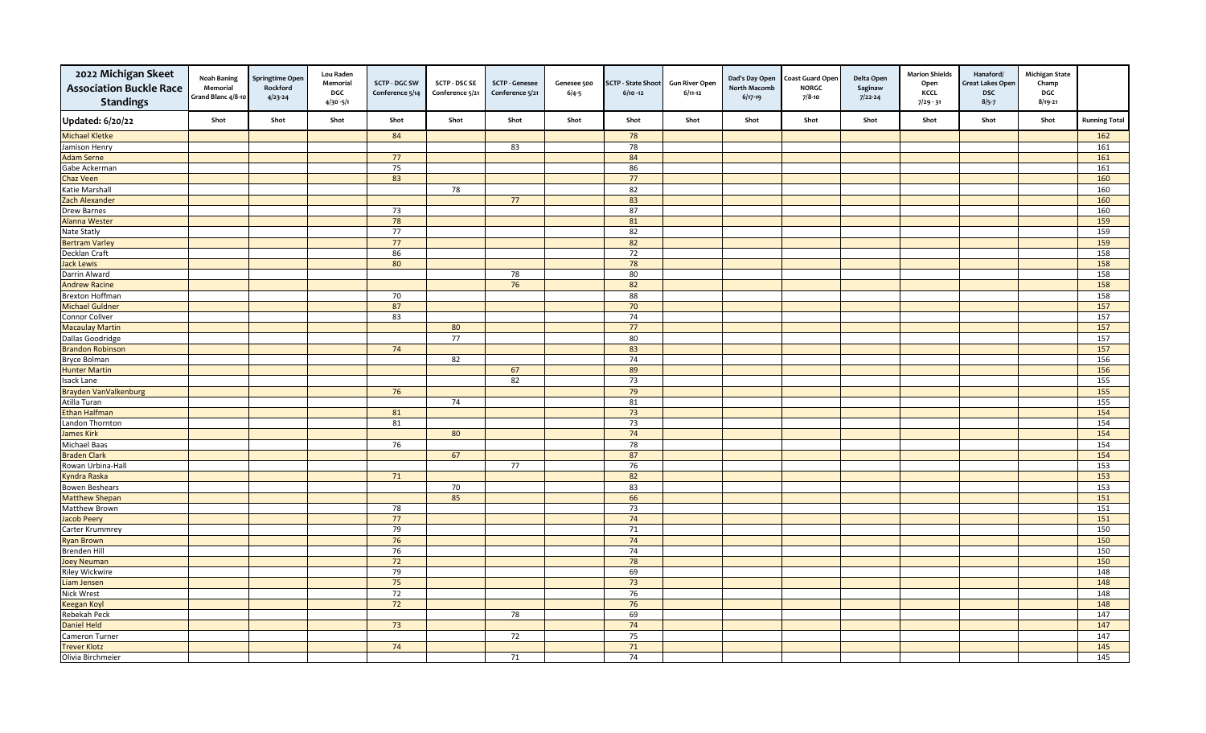| 2022 Michigan Skeet<br><b>Association Buckle Race</b><br><b>Standings</b> | Noah Baning<br>Memorial<br>Grand Blanc 4/8-10 | <b>Springtime Oper</b><br>Rockford<br>$4/23 - 24$ | <b>Lou Raden</b><br>Memorial<br>DGC<br>$4/30 - 5/1$ | <b>SCTP - DGC SW</b><br>Conference 5/14 | <b>SCTP - DSC SE</b><br>Conference 5/21 | <b>SCTP - Genesee</b><br>Conference 5/21 | Genesee 500<br>$6/4 - 5$ | <b>SCTP - State Shoot</b><br>$6/10 - 12$ | <b>Gun River Open</b><br>$6/11-12$ | Dad's Day Open<br><b>North Macomb</b><br>$6/17-19$ | <b>Coast Guard Open</b><br><b>NORGC</b><br>7/8-10 | Delta Open<br>Saginaw<br>$7/22 - 24$ | <b>Marion Shields</b><br>Open<br>KCCL<br>$7/29 - 31$ | Hanaford/<br>Great Lakes Open<br><b>DSC</b><br>$8/5 - 7$ | <b>Michigan State</b><br>Champ<br>DGC<br>$8/19 - 21$ |                      |
|---------------------------------------------------------------------------|-----------------------------------------------|---------------------------------------------------|-----------------------------------------------------|-----------------------------------------|-----------------------------------------|------------------------------------------|--------------------------|------------------------------------------|------------------------------------|----------------------------------------------------|---------------------------------------------------|--------------------------------------|------------------------------------------------------|----------------------------------------------------------|------------------------------------------------------|----------------------|
| <b>Updated: 6/20/22</b>                                                   | Shot                                          | Shot                                              | Shot                                                | Shot                                    | Shot                                    | Shot                                     | Shot                     | Shot                                     | Shot                               | Shot                                               | Shot                                              | Shot                                 | Shot                                                 | Shot                                                     | Shot                                                 | <b>Running Total</b> |
| <b>Michael Kletke</b>                                                     |                                               |                                                   |                                                     | 84                                      |                                         |                                          |                          | 78                                       |                                    |                                                    |                                                   |                                      |                                                      |                                                          |                                                      | 162                  |
| Jamison Henry                                                             |                                               |                                                   |                                                     |                                         |                                         | 83                                       |                          | 78                                       |                                    |                                                    |                                                   |                                      |                                                      |                                                          |                                                      | 161                  |
| <b>Adam Serne</b>                                                         |                                               |                                                   |                                                     | 77                                      |                                         |                                          |                          | 84                                       |                                    |                                                    |                                                   |                                      |                                                      |                                                          |                                                      | 161                  |
| Gabe Ackerman                                                             |                                               |                                                   |                                                     | 75                                      |                                         |                                          |                          | 86                                       |                                    |                                                    |                                                   |                                      |                                                      |                                                          |                                                      | 161                  |
| <b>Chaz Veen</b>                                                          |                                               |                                                   |                                                     | 83                                      |                                         |                                          |                          | 77                                       |                                    |                                                    |                                                   |                                      |                                                      |                                                          |                                                      | 160                  |
| Katie Marshall                                                            |                                               |                                                   |                                                     |                                         | 78                                      |                                          |                          | 82                                       |                                    |                                                    |                                                   |                                      |                                                      |                                                          |                                                      | 160                  |
| Zach Alexander                                                            |                                               |                                                   |                                                     |                                         |                                         | 77                                       |                          | 83                                       |                                    |                                                    |                                                   |                                      |                                                      |                                                          |                                                      | 160                  |
| <b>Drew Barnes</b>                                                        |                                               |                                                   |                                                     | 73                                      |                                         |                                          |                          | 87                                       |                                    |                                                    |                                                   |                                      |                                                      |                                                          |                                                      | 160                  |
| Alanna Wester                                                             |                                               |                                                   |                                                     | 78                                      |                                         |                                          |                          | 81                                       |                                    |                                                    |                                                   |                                      |                                                      |                                                          |                                                      | 159                  |
| Nate Statly                                                               |                                               |                                                   |                                                     | 77                                      |                                         |                                          |                          | 82                                       |                                    |                                                    |                                                   |                                      |                                                      |                                                          |                                                      | 159                  |
| <b>Bertram Varley</b>                                                     |                                               |                                                   |                                                     | 77                                      |                                         |                                          |                          | 82                                       |                                    |                                                    |                                                   |                                      |                                                      |                                                          |                                                      | 159                  |
| Decklan Craft                                                             |                                               |                                                   |                                                     | 86                                      |                                         |                                          |                          | 72                                       |                                    |                                                    |                                                   |                                      |                                                      |                                                          |                                                      | 158                  |
| Jack Lewis                                                                |                                               |                                                   |                                                     | 80                                      |                                         |                                          |                          | 78                                       |                                    |                                                    |                                                   |                                      |                                                      |                                                          |                                                      | 158                  |
| Darrin Alward                                                             |                                               |                                                   |                                                     |                                         |                                         | 78                                       |                          | 80                                       |                                    |                                                    |                                                   |                                      |                                                      |                                                          |                                                      | 158                  |
| <b>Andrew Racine</b>                                                      |                                               |                                                   |                                                     |                                         |                                         | 76                                       |                          | 82                                       |                                    |                                                    |                                                   |                                      |                                                      |                                                          |                                                      | 158                  |
| <b>Brexton Hoffman</b>                                                    |                                               |                                                   |                                                     | 70                                      |                                         |                                          |                          | 88                                       |                                    |                                                    |                                                   |                                      |                                                      |                                                          |                                                      | 158                  |
| <b>Michael Guldner</b>                                                    |                                               |                                                   |                                                     | 87                                      |                                         |                                          |                          | 70                                       |                                    |                                                    |                                                   |                                      |                                                      |                                                          |                                                      | 157                  |
| Connor Collver                                                            |                                               |                                                   |                                                     | 83                                      |                                         |                                          |                          | 74                                       |                                    |                                                    |                                                   |                                      |                                                      |                                                          |                                                      | 157                  |
| <b>Macaulay Martin</b>                                                    |                                               |                                                   |                                                     |                                         | 80                                      |                                          |                          | 77                                       |                                    |                                                    |                                                   |                                      |                                                      |                                                          |                                                      | $\frac{157}{157}$    |
| Dallas Goodridge                                                          |                                               |                                                   |                                                     |                                         | 77                                      |                                          |                          | 80                                       |                                    |                                                    |                                                   |                                      |                                                      |                                                          |                                                      | 157                  |
| <b>Brandon Robinson</b>                                                   |                                               |                                                   |                                                     | 74                                      |                                         |                                          |                          | 83                                       |                                    |                                                    |                                                   |                                      |                                                      |                                                          |                                                      | 157                  |
| Bryce Bolman                                                              |                                               |                                                   |                                                     |                                         | 82                                      |                                          |                          | 74                                       |                                    |                                                    |                                                   |                                      |                                                      |                                                          |                                                      | 156                  |
| <b>Hunter Martin</b>                                                      |                                               |                                                   |                                                     |                                         |                                         | 67                                       |                          | 89                                       |                                    |                                                    |                                                   |                                      |                                                      |                                                          |                                                      | 156                  |
| Isack Lane                                                                |                                               |                                                   |                                                     |                                         |                                         | 82                                       |                          | 73                                       |                                    |                                                    |                                                   |                                      |                                                      |                                                          |                                                      | 155                  |
| Brayden VanValkenburg                                                     |                                               |                                                   |                                                     | 76                                      |                                         |                                          |                          | 79                                       |                                    |                                                    |                                                   |                                      |                                                      |                                                          |                                                      | 155                  |
| Atilla Turan                                                              |                                               |                                                   |                                                     |                                         | 74                                      |                                          |                          | 81                                       |                                    |                                                    |                                                   |                                      |                                                      |                                                          |                                                      | 155                  |
| <b>Ethan Halfman</b>                                                      |                                               |                                                   |                                                     | 81                                      |                                         |                                          |                          | 73                                       |                                    |                                                    |                                                   |                                      |                                                      |                                                          |                                                      | 154                  |
| Landon Thornton                                                           |                                               |                                                   |                                                     | 81                                      |                                         |                                          |                          | 73                                       |                                    |                                                    |                                                   |                                      |                                                      |                                                          |                                                      | 154                  |
| <b>James Kirk</b>                                                         |                                               |                                                   |                                                     |                                         | 80                                      |                                          |                          | 74                                       |                                    |                                                    |                                                   |                                      |                                                      |                                                          |                                                      | 154                  |
| <b>Michael Baas</b>                                                       |                                               |                                                   |                                                     | 76                                      |                                         |                                          |                          | 78                                       |                                    |                                                    |                                                   |                                      |                                                      |                                                          |                                                      | 154                  |
| <b>Braden Clark</b>                                                       |                                               |                                                   |                                                     |                                         | 67                                      |                                          |                          | 87                                       |                                    |                                                    |                                                   |                                      |                                                      |                                                          |                                                      | 154                  |
| Rowan Urbina-Hall                                                         |                                               |                                                   |                                                     |                                         |                                         | 77                                       |                          | 76                                       |                                    |                                                    |                                                   |                                      |                                                      |                                                          |                                                      | 153                  |
| <b>Kyndra Raska</b>                                                       |                                               |                                                   |                                                     | 71                                      |                                         |                                          |                          | 82                                       |                                    |                                                    |                                                   |                                      |                                                      |                                                          |                                                      | 153                  |
| <b>Bowen Beshears</b>                                                     |                                               |                                                   |                                                     |                                         | 70                                      |                                          |                          | 83                                       |                                    |                                                    |                                                   |                                      |                                                      |                                                          |                                                      | 153                  |
| <b>Matthew Shepan</b>                                                     |                                               |                                                   |                                                     |                                         | 85                                      |                                          |                          | 66                                       |                                    |                                                    |                                                   |                                      |                                                      |                                                          |                                                      | 151                  |
| Matthew Brown                                                             |                                               |                                                   |                                                     | 78                                      |                                         |                                          |                          | 73                                       |                                    |                                                    |                                                   |                                      |                                                      |                                                          |                                                      | 151                  |
| Jacob Peery                                                               |                                               |                                                   |                                                     | 77                                      |                                         |                                          |                          | 74                                       |                                    |                                                    |                                                   |                                      |                                                      |                                                          |                                                      | 151                  |
| Carter Krummrey                                                           |                                               |                                                   |                                                     | 79                                      |                                         |                                          |                          | 71                                       |                                    |                                                    |                                                   |                                      |                                                      |                                                          |                                                      | 150                  |
| <b>Ryan Brown</b>                                                         |                                               |                                                   |                                                     | 76                                      |                                         |                                          |                          | 74                                       |                                    |                                                    |                                                   |                                      |                                                      |                                                          |                                                      | 150                  |
| <b>Brenden Hill</b>                                                       |                                               |                                                   |                                                     | 76                                      |                                         |                                          |                          | 74                                       |                                    |                                                    |                                                   |                                      |                                                      |                                                          |                                                      | 150                  |
| <b>Joey Neuman</b>                                                        |                                               |                                                   |                                                     | 72                                      |                                         |                                          |                          | 78                                       |                                    |                                                    |                                                   |                                      |                                                      |                                                          |                                                      | 150                  |
| <b>Riley Wickwire</b>                                                     |                                               |                                                   |                                                     | 79                                      |                                         |                                          |                          | 69                                       |                                    |                                                    |                                                   |                                      |                                                      |                                                          |                                                      | 148                  |
| Liam Jensen                                                               |                                               |                                                   |                                                     | 75                                      |                                         |                                          |                          | 73                                       |                                    |                                                    |                                                   |                                      |                                                      |                                                          |                                                      | 148                  |
| <b>Nick Wrest</b>                                                         |                                               |                                                   |                                                     | 72                                      |                                         |                                          |                          | 76                                       |                                    |                                                    |                                                   |                                      |                                                      |                                                          |                                                      | 148                  |
| <b>Keegan Koyl</b>                                                        |                                               |                                                   |                                                     | 72                                      |                                         |                                          |                          | 76                                       |                                    |                                                    |                                                   |                                      |                                                      |                                                          |                                                      | 148                  |
| Rebekah Peck                                                              |                                               |                                                   |                                                     |                                         |                                         | 78                                       |                          | 69                                       |                                    |                                                    |                                                   |                                      |                                                      |                                                          |                                                      | 147                  |
| <b>Daniel Held</b>                                                        |                                               |                                                   |                                                     | 73                                      |                                         |                                          |                          | 74                                       |                                    |                                                    |                                                   |                                      |                                                      |                                                          |                                                      | 147                  |
| Cameron Turner                                                            |                                               |                                                   |                                                     |                                         |                                         | 72                                       |                          | 75                                       |                                    |                                                    |                                                   |                                      |                                                      |                                                          |                                                      | 147                  |
| <b>Trever Klotz</b>                                                       |                                               |                                                   |                                                     | 74                                      |                                         |                                          |                          | 71                                       |                                    |                                                    |                                                   |                                      |                                                      |                                                          |                                                      | 145                  |
| Olivia Birchmeier                                                         |                                               |                                                   |                                                     |                                         |                                         | 71                                       |                          | 74                                       |                                    |                                                    |                                                   |                                      |                                                      |                                                          |                                                      | 145                  |
|                                                                           |                                               |                                                   |                                                     |                                         |                                         |                                          |                          |                                          |                                    |                                                    |                                                   |                                      |                                                      |                                                          |                                                      |                      |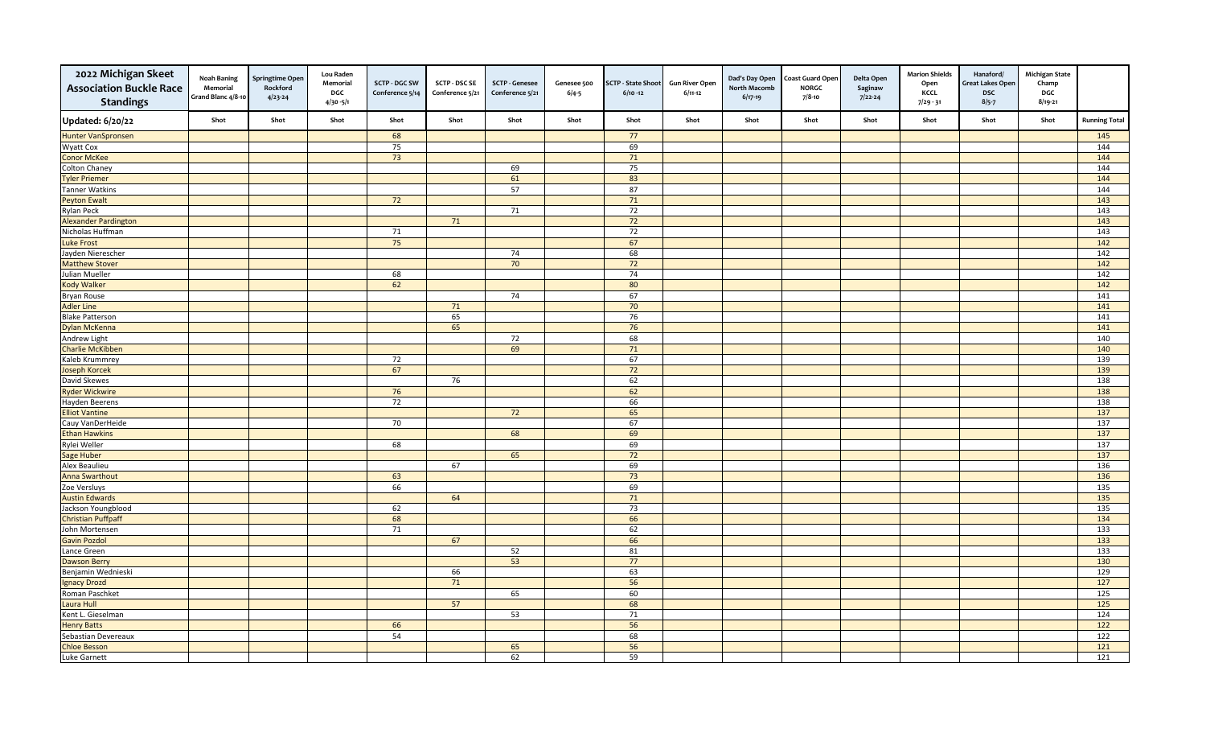| 2022 Michigan Skeet<br><b>Association Buckle Race</b><br><b>Standings</b> | <b>Noah Baning</b><br>Memorial<br>Grand Blanc 4/8-10 | <b>Springtime Oper</b><br>Rockford<br>$4/23 - 24$ | <b>Lou Raden</b><br>Memorial<br>DGC<br>$4/30 - 5/1$ | <b>SCTP - DGC SW</b><br>Conference 5/14 | <b>SCTP - DSC SE</b><br>Conference 5/21 | <b>SCTP - Genesee</b><br>Conference 5/21 | Genesee 500<br>$6/4 - 5$ | <b>SCTP - State Shoot</b><br>$6/10 - 12$ | <b>Gun River Open</b><br>$6/11-12$ | Dad's Day Open<br><b>North Macomb</b><br>$6/17-19$ | <b>Coast Guard Open</b><br><b>NORGC</b><br>7/8-10 | Delta Open<br>Saginaw<br>$7/22 - 24$ | <b>Marion Shields</b><br>Open<br>KCCL<br>$7/29 - 31$ | Hanaford/<br>Great Lakes Open<br><b>DSC</b><br>$8/5 - 7$ | <b>Michigan State</b><br>Champ<br>DGC<br>$8/19 - 21$ |                      |
|---------------------------------------------------------------------------|------------------------------------------------------|---------------------------------------------------|-----------------------------------------------------|-----------------------------------------|-----------------------------------------|------------------------------------------|--------------------------|------------------------------------------|------------------------------------|----------------------------------------------------|---------------------------------------------------|--------------------------------------|------------------------------------------------------|----------------------------------------------------------|------------------------------------------------------|----------------------|
| <b>Updated: 6/20/22</b>                                                   | Shot                                                 | Shot                                              | Shot                                                | Shot                                    | Shot                                    | Shot                                     | Shot                     | Shot                                     | Shot                               | Shot                                               | Shot                                              | Shot                                 | Shot                                                 | Shot                                                     | Shot                                                 | <b>Running Total</b> |
| Hunter VanSpronsen                                                        |                                                      |                                                   |                                                     | 68                                      |                                         |                                          |                          | 77                                       |                                    |                                                    |                                                   |                                      |                                                      |                                                          |                                                      | 145                  |
| Wyatt Cox                                                                 |                                                      |                                                   |                                                     | 75                                      |                                         |                                          |                          | 69                                       |                                    |                                                    |                                                   |                                      |                                                      |                                                          |                                                      | 144                  |
| <b>Conor McKee</b>                                                        |                                                      |                                                   |                                                     | $\overline{73}$                         |                                         |                                          |                          | 71                                       |                                    |                                                    |                                                   |                                      |                                                      |                                                          |                                                      | 144                  |
| <b>Colton Chaney</b>                                                      |                                                      |                                                   |                                                     |                                         |                                         | 69                                       |                          | 75                                       |                                    |                                                    |                                                   |                                      |                                                      |                                                          |                                                      | 144                  |
| <b>Tyler Priemer</b>                                                      |                                                      |                                                   |                                                     |                                         |                                         | 61                                       |                          | 83                                       |                                    |                                                    |                                                   |                                      |                                                      |                                                          |                                                      | 144                  |
| <b>Tanner Watkins</b>                                                     |                                                      |                                                   |                                                     |                                         |                                         | 57                                       |                          | 87                                       |                                    |                                                    |                                                   |                                      |                                                      |                                                          |                                                      | 144                  |
| <b>Peyton Ewalt</b>                                                       |                                                      |                                                   |                                                     | 72                                      |                                         |                                          |                          | 71                                       |                                    |                                                    |                                                   |                                      |                                                      |                                                          |                                                      | 143                  |
| <b>Rylan Peck</b>                                                         |                                                      |                                                   |                                                     |                                         |                                         | 71                                       |                          | $\overline{72}$                          |                                    |                                                    |                                                   |                                      |                                                      |                                                          |                                                      | 143                  |
| <b>Alexander Pardington</b>                                               |                                                      |                                                   |                                                     |                                         | 71                                      |                                          |                          | 72                                       |                                    |                                                    |                                                   |                                      |                                                      |                                                          |                                                      | 143                  |
| Nicholas Huffman                                                          |                                                      |                                                   |                                                     | 71                                      |                                         |                                          |                          | 72                                       |                                    |                                                    |                                                   |                                      |                                                      |                                                          |                                                      | 143                  |
| <b>Luke Frost</b>                                                         |                                                      |                                                   |                                                     | 75                                      |                                         |                                          |                          | 67                                       |                                    |                                                    |                                                   |                                      |                                                      |                                                          |                                                      | 142                  |
| Jayden Nierescher                                                         |                                                      |                                                   |                                                     |                                         |                                         | 74                                       |                          | 68                                       |                                    |                                                    |                                                   |                                      |                                                      |                                                          |                                                      | 142                  |
| <b>Matthew Stover</b>                                                     |                                                      |                                                   |                                                     |                                         |                                         | 70                                       |                          | 72                                       |                                    |                                                    |                                                   |                                      |                                                      |                                                          |                                                      | 142                  |
| Julian Mueller                                                            |                                                      |                                                   |                                                     | 68                                      |                                         |                                          |                          | 74                                       |                                    |                                                    |                                                   |                                      |                                                      |                                                          |                                                      | 142                  |
| <b>Kody Walker</b>                                                        |                                                      |                                                   |                                                     | 62                                      |                                         |                                          |                          | 80                                       |                                    |                                                    |                                                   |                                      |                                                      |                                                          |                                                      | 142                  |
| Bryan Rouse                                                               |                                                      |                                                   |                                                     |                                         |                                         | 74                                       |                          | 67                                       |                                    |                                                    |                                                   |                                      |                                                      |                                                          |                                                      | 141                  |
| <b>Adler Line</b>                                                         |                                                      |                                                   |                                                     |                                         | 71                                      |                                          |                          | 70                                       |                                    |                                                    |                                                   |                                      |                                                      |                                                          |                                                      | 141                  |
| <b>Blake Patterson</b>                                                    |                                                      |                                                   |                                                     |                                         | 65                                      |                                          |                          | 76                                       |                                    |                                                    |                                                   |                                      |                                                      |                                                          |                                                      | 141                  |
| <b>Dylan McKenna</b>                                                      |                                                      |                                                   |                                                     |                                         | 65                                      |                                          |                          | 76                                       |                                    |                                                    |                                                   |                                      |                                                      |                                                          |                                                      | $\overline{141}$     |
| Andrew Light                                                              |                                                      |                                                   |                                                     |                                         |                                         | 72                                       |                          | 68                                       |                                    |                                                    |                                                   |                                      |                                                      |                                                          |                                                      | 140                  |
| <b>Charlie McKibben</b>                                                   |                                                      |                                                   |                                                     |                                         |                                         | 69                                       |                          | 71                                       |                                    |                                                    |                                                   |                                      |                                                      |                                                          |                                                      | 140                  |
| Kaleb Krummrey                                                            |                                                      |                                                   |                                                     | 72                                      |                                         |                                          |                          | 67                                       |                                    |                                                    |                                                   |                                      |                                                      |                                                          |                                                      | 139                  |
| <b>Joseph Korcek</b>                                                      |                                                      |                                                   |                                                     | 67                                      |                                         |                                          |                          | 72                                       |                                    |                                                    |                                                   |                                      |                                                      |                                                          |                                                      | 139                  |
| David Skewes                                                              |                                                      |                                                   |                                                     |                                         | 76                                      |                                          |                          | 62                                       |                                    |                                                    |                                                   |                                      |                                                      |                                                          |                                                      | 138                  |
| <b>Ryder Wickwire</b>                                                     |                                                      |                                                   |                                                     | 76                                      |                                         |                                          |                          | 62                                       |                                    |                                                    |                                                   |                                      |                                                      |                                                          |                                                      | 138                  |
| Hayden Beerens                                                            |                                                      |                                                   |                                                     | 72                                      |                                         |                                          |                          | 66                                       |                                    |                                                    |                                                   |                                      |                                                      |                                                          |                                                      | 138                  |
| <b>Elliot Vantine</b>                                                     |                                                      |                                                   |                                                     |                                         |                                         | 72                                       |                          | 65                                       |                                    |                                                    |                                                   |                                      |                                                      |                                                          |                                                      | 137                  |
| Cauy VanDerHeide                                                          |                                                      |                                                   |                                                     | 70                                      |                                         |                                          |                          | 67                                       |                                    |                                                    |                                                   |                                      |                                                      |                                                          |                                                      | 137                  |
| <b>Ethan Hawkins</b>                                                      |                                                      |                                                   |                                                     |                                         |                                         | 68                                       |                          | 69                                       |                                    |                                                    |                                                   |                                      |                                                      |                                                          |                                                      | 137                  |
| Rylei Weller                                                              |                                                      |                                                   |                                                     | 68                                      |                                         |                                          |                          | 69                                       |                                    |                                                    |                                                   |                                      |                                                      |                                                          |                                                      | 137                  |
| Sage Huber                                                                |                                                      |                                                   |                                                     |                                         |                                         | 65                                       |                          | 72                                       |                                    |                                                    |                                                   |                                      |                                                      |                                                          |                                                      | 137                  |
| Alex Beaulieu                                                             |                                                      |                                                   |                                                     |                                         | 67                                      |                                          |                          | 69                                       |                                    |                                                    |                                                   |                                      |                                                      |                                                          |                                                      | 136                  |
| <b>Anna Swarthout</b>                                                     |                                                      |                                                   |                                                     | 63                                      |                                         |                                          |                          | 73                                       |                                    |                                                    |                                                   |                                      |                                                      |                                                          |                                                      | 136                  |
| Zoe Versluys                                                              |                                                      |                                                   |                                                     | 66                                      |                                         |                                          |                          | 69                                       |                                    |                                                    |                                                   |                                      |                                                      |                                                          |                                                      | 135                  |
| <b>Austin Edwards</b>                                                     |                                                      |                                                   |                                                     |                                         | 64                                      |                                          |                          | 71                                       |                                    |                                                    |                                                   |                                      |                                                      |                                                          |                                                      | 135                  |
| Jackson Youngblood                                                        |                                                      |                                                   |                                                     | 62                                      |                                         |                                          |                          | 73                                       |                                    |                                                    |                                                   |                                      |                                                      |                                                          |                                                      | 135                  |
| <b>Christian Puffpaff</b>                                                 |                                                      |                                                   |                                                     | 68                                      |                                         |                                          |                          | 66                                       |                                    |                                                    |                                                   |                                      |                                                      |                                                          |                                                      | 134                  |
| John Mortensen                                                            |                                                      |                                                   |                                                     | 71                                      |                                         |                                          |                          | 62                                       |                                    |                                                    |                                                   |                                      |                                                      |                                                          |                                                      | 133                  |
| <b>Gavin Pozdol</b>                                                       |                                                      |                                                   |                                                     |                                         | 67                                      |                                          |                          | 66                                       |                                    |                                                    |                                                   |                                      |                                                      |                                                          |                                                      | 133                  |
| Lance Green                                                               |                                                      |                                                   |                                                     |                                         |                                         | 52                                       |                          | 81                                       |                                    |                                                    |                                                   |                                      |                                                      |                                                          |                                                      | $\overline{133}$     |
| <b>Dawson Berry</b>                                                       |                                                      |                                                   |                                                     |                                         |                                         | 53                                       |                          | 77                                       |                                    |                                                    |                                                   |                                      |                                                      |                                                          |                                                      | 130                  |
| Benjamin Wednieski                                                        |                                                      |                                                   |                                                     |                                         | 66                                      |                                          |                          | 63                                       |                                    |                                                    |                                                   |                                      |                                                      |                                                          |                                                      | 129                  |
| <b>Ignacy Drozd</b>                                                       |                                                      |                                                   |                                                     |                                         | 71                                      |                                          |                          | 56                                       |                                    |                                                    |                                                   |                                      |                                                      |                                                          |                                                      | 127                  |
| Roman Paschket                                                            |                                                      |                                                   |                                                     |                                         |                                         | 65                                       |                          | 60                                       |                                    |                                                    |                                                   |                                      |                                                      |                                                          |                                                      | 125                  |
| Laura Hull                                                                |                                                      |                                                   |                                                     |                                         | 57                                      |                                          |                          | 68                                       |                                    |                                                    |                                                   |                                      |                                                      |                                                          |                                                      | 125                  |
| Kent L. Gieselman                                                         |                                                      |                                                   |                                                     |                                         |                                         | 53                                       |                          | 71                                       |                                    |                                                    |                                                   |                                      |                                                      |                                                          |                                                      | 124                  |
| <b>Henry Batts</b>                                                        |                                                      |                                                   |                                                     | 66                                      |                                         |                                          |                          | 56                                       |                                    |                                                    |                                                   |                                      |                                                      |                                                          |                                                      | 122                  |
| Sebastian Devereaux                                                       |                                                      |                                                   |                                                     | 54                                      |                                         |                                          |                          | 68                                       |                                    |                                                    |                                                   |                                      |                                                      |                                                          |                                                      | $\overline{122}$     |
| <b>Chloe Besson</b>                                                       |                                                      |                                                   |                                                     |                                         |                                         | 65                                       |                          | 56                                       |                                    |                                                    |                                                   |                                      |                                                      |                                                          |                                                      | 121                  |
| Luke Garnett                                                              |                                                      |                                                   |                                                     |                                         |                                         | 62                                       |                          | 59                                       |                                    |                                                    |                                                   |                                      |                                                      |                                                          |                                                      | 121                  |
|                                                                           |                                                      |                                                   |                                                     |                                         |                                         |                                          |                          |                                          |                                    |                                                    |                                                   |                                      |                                                      |                                                          |                                                      |                      |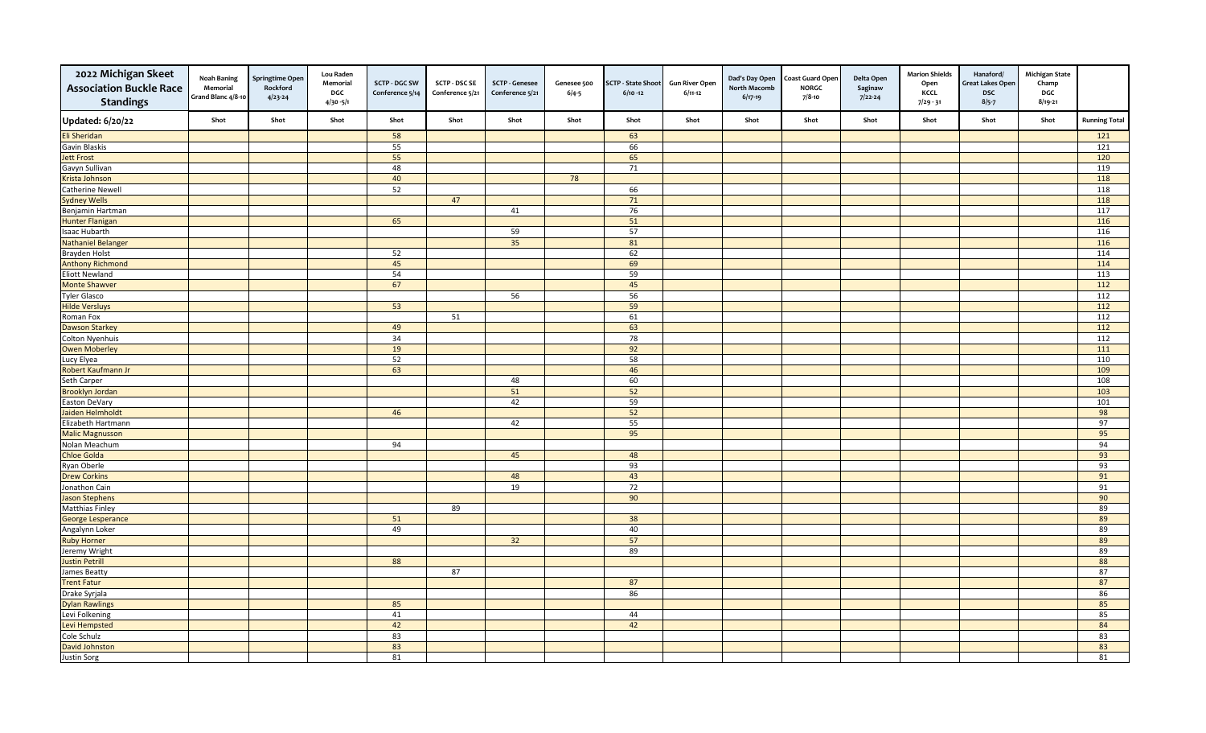| 2022 Michigan Skeet<br><b>Association Buckle Race</b><br><b>Standings</b> | <b>Noah Baning</b><br>Memorial<br>Grand Blanc 4/8-10 | <b>Springtime Oper</b><br>Rockford<br>$4/23 - 24$ | <b>Lou Raden</b><br>Memorial<br>DGC<br>$4/30 - 5/1$ | <b>SCTP - DGC SW</b><br>Conference 5/14 | <b>SCTP - DSC SE</b><br>Conference 5/21 | <b>SCTP - Genesee</b><br>Conference 5/21 | Genesee 500<br>$6/4 - 5$ | <b>SCTP - State Shoot</b><br>$6/10 - 12$ | <b>Gun River Open</b><br>$6/11-12$ | Dad's Day Open<br><b>North Macomb</b><br>$6/17-19$ | <b>Coast Guard Open</b><br><b>NORGC</b><br>7/8-10 | Delta Open<br>Saginaw<br>$7/22 - 24$ | <b>Marion Shields</b><br>Open<br>KCCL<br>$7/29 - 31$ | Hanaford/<br>Great Lakes Open<br><b>DSC</b><br>$8/5 - 7$ | <b>Michigan State</b><br>Champ<br>DGC<br>$8/19 - 21$ |                      |
|---------------------------------------------------------------------------|------------------------------------------------------|---------------------------------------------------|-----------------------------------------------------|-----------------------------------------|-----------------------------------------|------------------------------------------|--------------------------|------------------------------------------|------------------------------------|----------------------------------------------------|---------------------------------------------------|--------------------------------------|------------------------------------------------------|----------------------------------------------------------|------------------------------------------------------|----------------------|
| <b>Updated: 6/20/22</b>                                                   | Shot                                                 | Shot                                              | Shot                                                | Shot                                    | Shot                                    | Shot                                     | Shot                     | Shot                                     | Shot                               | Shot                                               | Shot                                              | Shot                                 | Shot                                                 | Shot                                                     | Shot                                                 | <b>Running Total</b> |
| Eli Sheridan                                                              |                                                      |                                                   |                                                     | 58                                      |                                         |                                          |                          | 63                                       |                                    |                                                    |                                                   |                                      |                                                      |                                                          |                                                      | 121                  |
| Gavin Blaskis                                                             |                                                      |                                                   |                                                     | 55                                      |                                         |                                          |                          | 66                                       |                                    |                                                    |                                                   |                                      |                                                      |                                                          |                                                      | 121                  |
| <b>Jett Frost</b>                                                         |                                                      |                                                   |                                                     | 55                                      |                                         |                                          |                          | 65                                       |                                    |                                                    |                                                   |                                      |                                                      |                                                          |                                                      | $\frac{120}{2}$      |
| Gavyn Sullivan                                                            |                                                      |                                                   |                                                     | 48                                      |                                         |                                          |                          | 71                                       |                                    |                                                    |                                                   |                                      |                                                      |                                                          |                                                      | 119                  |
| Krista Johnson                                                            |                                                      |                                                   |                                                     | 40                                      |                                         |                                          | 78                       |                                          |                                    |                                                    |                                                   |                                      |                                                      |                                                          |                                                      | 118                  |
| <b>Catherine Newell</b>                                                   |                                                      |                                                   |                                                     | 52                                      |                                         |                                          |                          | 66                                       |                                    |                                                    |                                                   |                                      |                                                      |                                                          |                                                      | 118                  |
| <b>Sydney Wells</b>                                                       |                                                      |                                                   |                                                     |                                         | 47                                      |                                          |                          | 71                                       |                                    |                                                    |                                                   |                                      |                                                      |                                                          |                                                      | 118                  |
| Benjamin Hartman                                                          |                                                      |                                                   |                                                     |                                         |                                         | 41                                       |                          | 76                                       |                                    |                                                    |                                                   |                                      |                                                      |                                                          |                                                      | 117                  |
| <b>Hunter Flanigan</b>                                                    |                                                      |                                                   |                                                     | 65                                      |                                         |                                          |                          | 51                                       |                                    |                                                    |                                                   |                                      |                                                      |                                                          |                                                      | 116                  |
| <b>Isaac Hubarth</b>                                                      |                                                      |                                                   |                                                     |                                         |                                         | 59                                       |                          | 57                                       |                                    |                                                    |                                                   |                                      |                                                      |                                                          |                                                      | 116                  |
| <b>Nathaniel Belanger</b>                                                 |                                                      |                                                   |                                                     |                                         |                                         | 35                                       |                          | 81                                       |                                    |                                                    |                                                   |                                      |                                                      |                                                          |                                                      | 116                  |
| Brayden Holst                                                             |                                                      |                                                   |                                                     | 52                                      |                                         |                                          |                          | 62                                       |                                    |                                                    |                                                   |                                      |                                                      |                                                          |                                                      | 114                  |
| <b>Anthony Richmond</b>                                                   |                                                      |                                                   |                                                     | 45                                      |                                         |                                          |                          | 69                                       |                                    |                                                    |                                                   |                                      |                                                      |                                                          |                                                      | 114                  |
| <b>Eliott Newland</b>                                                     |                                                      |                                                   |                                                     | 54                                      |                                         |                                          |                          | 59                                       |                                    |                                                    |                                                   |                                      |                                                      |                                                          |                                                      | 113                  |
| <b>Monte Shawver</b>                                                      |                                                      |                                                   |                                                     | 67                                      |                                         |                                          |                          | 45                                       |                                    |                                                    |                                                   |                                      |                                                      |                                                          |                                                      | 112                  |
| <b>Tyler Glasco</b>                                                       |                                                      |                                                   |                                                     |                                         |                                         | 56                                       |                          | 56                                       |                                    |                                                    |                                                   |                                      |                                                      |                                                          |                                                      | 112                  |
| <b>Hilde Versluys</b>                                                     |                                                      |                                                   |                                                     | 53                                      |                                         |                                          |                          | 59                                       |                                    |                                                    |                                                   |                                      |                                                      |                                                          |                                                      | 112                  |
| Roman Fox                                                                 |                                                      |                                                   |                                                     |                                         | 51                                      |                                          |                          | 61                                       |                                    |                                                    |                                                   |                                      |                                                      |                                                          |                                                      | 112                  |
| <b>Dawson Starkey</b>                                                     |                                                      |                                                   |                                                     | 49                                      |                                         |                                          |                          | 63                                       |                                    |                                                    |                                                   |                                      |                                                      |                                                          |                                                      | 112                  |
| <b>Colton Nyenhuis</b>                                                    |                                                      |                                                   |                                                     | 34                                      |                                         |                                          |                          | 78                                       |                                    |                                                    |                                                   |                                      |                                                      |                                                          |                                                      | 112                  |
| <b>Owen Moberley</b>                                                      |                                                      |                                                   |                                                     | 19                                      |                                         |                                          |                          | 92                                       |                                    |                                                    |                                                   |                                      |                                                      |                                                          |                                                      | 111                  |
| Lucy Elyea                                                                |                                                      |                                                   |                                                     | 52                                      |                                         |                                          |                          | 58                                       |                                    |                                                    |                                                   |                                      |                                                      |                                                          |                                                      | 110                  |
| Robert Kaufmann Jr                                                        |                                                      |                                                   |                                                     | 63                                      |                                         |                                          |                          | 46                                       |                                    |                                                    |                                                   |                                      |                                                      |                                                          |                                                      | 109                  |
| Seth Carper                                                               |                                                      |                                                   |                                                     |                                         |                                         | 48                                       |                          | 60                                       |                                    |                                                    |                                                   |                                      |                                                      |                                                          |                                                      | 108                  |
| <b>Brooklyn Jordan</b>                                                    |                                                      |                                                   |                                                     |                                         |                                         | 51                                       |                          | 52                                       |                                    |                                                    |                                                   |                                      |                                                      |                                                          |                                                      | 103                  |
| Easton DeVary                                                             |                                                      |                                                   |                                                     |                                         |                                         | 42                                       |                          | 59                                       |                                    |                                                    |                                                   |                                      |                                                      |                                                          |                                                      | 101                  |
| Jaiden Helmholdt                                                          |                                                      |                                                   |                                                     | 46                                      |                                         |                                          |                          | 52                                       |                                    |                                                    |                                                   |                                      |                                                      |                                                          |                                                      | 98                   |
| Elizabeth Hartmann                                                        |                                                      |                                                   |                                                     |                                         |                                         | 42                                       |                          | 55                                       |                                    |                                                    |                                                   |                                      |                                                      |                                                          |                                                      | 97                   |
| <b>Malic Magnusson</b>                                                    |                                                      |                                                   |                                                     |                                         |                                         |                                          |                          | 95                                       |                                    |                                                    |                                                   |                                      |                                                      |                                                          |                                                      | 95                   |
| Nolan Meachum                                                             |                                                      |                                                   |                                                     | 94                                      |                                         |                                          |                          |                                          |                                    |                                                    |                                                   |                                      |                                                      |                                                          |                                                      | 94                   |
| <b>Chloe Golda</b>                                                        |                                                      |                                                   |                                                     |                                         |                                         | 45                                       |                          | 48                                       |                                    |                                                    |                                                   |                                      |                                                      |                                                          |                                                      | 93                   |
| Ryan Oberle                                                               |                                                      |                                                   |                                                     |                                         |                                         |                                          |                          | 93                                       |                                    |                                                    |                                                   |                                      |                                                      |                                                          |                                                      | 93                   |
| <b>Drew Corkins</b>                                                       |                                                      |                                                   |                                                     |                                         |                                         | 48                                       |                          | 43                                       |                                    |                                                    |                                                   |                                      |                                                      |                                                          |                                                      | 91                   |
| Jonathon Cain                                                             |                                                      |                                                   |                                                     |                                         |                                         | 19                                       |                          | 72                                       |                                    |                                                    |                                                   |                                      |                                                      |                                                          |                                                      | 91                   |
| <b>Jason Stephens</b>                                                     |                                                      |                                                   |                                                     |                                         |                                         |                                          |                          | 90                                       |                                    |                                                    |                                                   |                                      |                                                      |                                                          |                                                      | 90                   |
| <b>Matthias Finley</b>                                                    |                                                      |                                                   |                                                     |                                         | 89                                      |                                          |                          |                                          |                                    |                                                    |                                                   |                                      |                                                      |                                                          |                                                      | 89                   |
| <b>George Lesperance</b>                                                  |                                                      |                                                   |                                                     | 51                                      |                                         |                                          |                          | 38                                       |                                    |                                                    |                                                   |                                      |                                                      |                                                          |                                                      | 89                   |
| Angalynn Loker                                                            |                                                      |                                                   |                                                     | 49                                      |                                         |                                          |                          | 40                                       |                                    |                                                    |                                                   |                                      |                                                      |                                                          |                                                      | 89                   |
| <b>Ruby Horner</b>                                                        |                                                      |                                                   |                                                     |                                         |                                         | 32                                       |                          | 57                                       |                                    |                                                    |                                                   |                                      |                                                      |                                                          |                                                      | 89                   |
| Jeremy Wright                                                             |                                                      |                                                   |                                                     |                                         |                                         |                                          |                          | 89                                       |                                    |                                                    |                                                   |                                      |                                                      |                                                          |                                                      | 89                   |
| <b>Justin Petrill</b>                                                     |                                                      |                                                   |                                                     | 88                                      |                                         |                                          |                          |                                          |                                    |                                                    |                                                   |                                      |                                                      |                                                          |                                                      | 88                   |
| James Beatty                                                              |                                                      |                                                   |                                                     |                                         | 87                                      |                                          |                          |                                          |                                    |                                                    |                                                   |                                      |                                                      |                                                          |                                                      | 87                   |
| <b>Trent Fatur</b>                                                        |                                                      |                                                   |                                                     |                                         |                                         |                                          |                          | 87                                       |                                    |                                                    |                                                   |                                      |                                                      |                                                          |                                                      | 87                   |
| Drake Syrjala                                                             |                                                      |                                                   |                                                     |                                         |                                         |                                          |                          | 86                                       |                                    |                                                    |                                                   |                                      |                                                      |                                                          |                                                      | 86                   |
| <b>Dylan Rawlings</b>                                                     |                                                      |                                                   |                                                     | 85                                      |                                         |                                          |                          |                                          |                                    |                                                    |                                                   |                                      |                                                      |                                                          |                                                      | 85                   |
| Levi Folkening                                                            |                                                      |                                                   |                                                     | 41                                      |                                         |                                          |                          | 44                                       |                                    |                                                    |                                                   |                                      |                                                      |                                                          |                                                      | 85                   |
| Levi Hempsted                                                             |                                                      |                                                   |                                                     | 42                                      |                                         |                                          |                          | 42                                       |                                    |                                                    |                                                   |                                      |                                                      |                                                          |                                                      | 84                   |
| Cole Schulz                                                               |                                                      |                                                   |                                                     | 83                                      |                                         |                                          |                          |                                          |                                    |                                                    |                                                   |                                      |                                                      |                                                          |                                                      | 83                   |
| David Johnston                                                            |                                                      |                                                   |                                                     | 83                                      |                                         |                                          |                          |                                          |                                    |                                                    |                                                   |                                      |                                                      |                                                          |                                                      | 83                   |
| <b>Justin Sorg</b>                                                        |                                                      |                                                   |                                                     | 81                                      |                                         |                                          |                          |                                          |                                    |                                                    |                                                   |                                      |                                                      |                                                          |                                                      | 81                   |
|                                                                           |                                                      |                                                   |                                                     |                                         |                                         |                                          |                          |                                          |                                    |                                                    |                                                   |                                      |                                                      |                                                          |                                                      |                      |